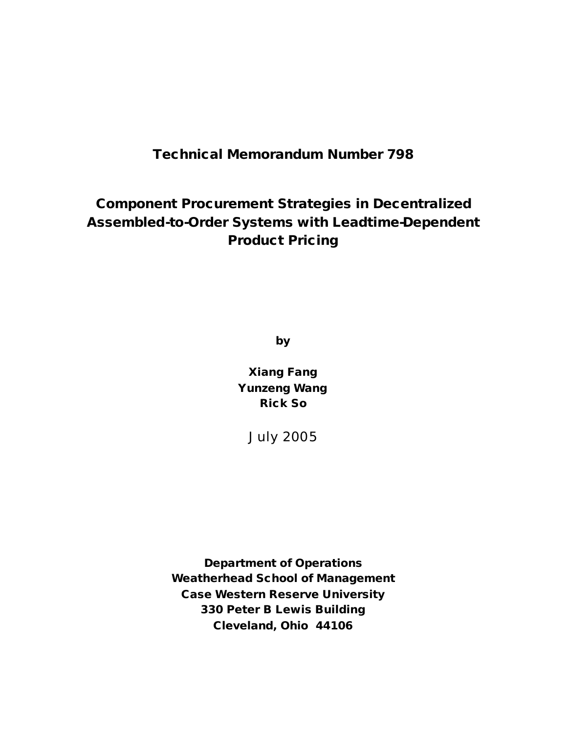**Technical Memorandum Number 798**

# **Component Procurement Strategies in Decentralized Assembled-to-Order Systems with Leadtime-Dependent Product Pricing**

**by**

**Xiang Fang Yunzeng Wang Rick So**

July 2005

**Department of Operations Weatherhead School of Management Case Western Reserve University 330 Peter B Lewis Building Cleveland, Ohio 44106**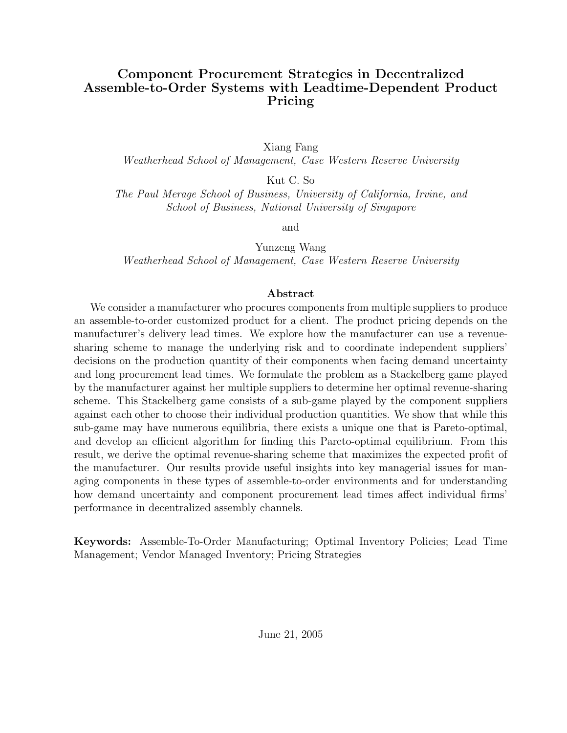#### **Component Procurement Strategies in Decentralized Assemble-to-Order Systems with Leadtime-Dependent Product Pricing**

Xiang Fang *Weatherhead School of Management, Case Western Reserve University*

Kut C. So

*The Paul Merage School of Business, University of California, Irvine, and School of Business, National University of Singapore*

and

Yunzeng Wang *Weatherhead School of Management, Case Western Reserve University*

#### **Abstract**

We consider a manufacturer who procures components from multiple suppliers to produce an assemble-to-order customized product for a client. The product pricing depends on the manufacturer's delivery lead times. We explore how the manufacturer can use a revenuesharing scheme to manage the underlying risk and to coordinate independent suppliers' decisions on the production quantity of their components when facing demand uncertainty and long procurement lead times. We formulate the problem as a Stackelberg game played by the manufacturer against her multiple suppliers to determine her optimal revenue-sharing scheme. This Stackelberg game consists of a sub-game played by the component suppliers against each other to choose their individual production quantities. We show that while this sub-game may have numerous equilibria, there exists a unique one that is Pareto-optimal, and develop an efficient algorithm for finding this Pareto-optimal equilibrium. From this result, we derive the optimal revenue-sharing scheme that maximizes the expected profit of the manufacturer. Our results provide useful insights into key managerial issues for managing components in these types of assemble-to-order environments and for understanding how demand uncertainty and component procurement lead times affect individual firms' performance in decentralized assembly channels.

**Keywords:** Assemble-To-Order Manufacturing; Optimal Inventory Policies; Lead Time Management; Vendor Managed Inventory; Pricing Strategies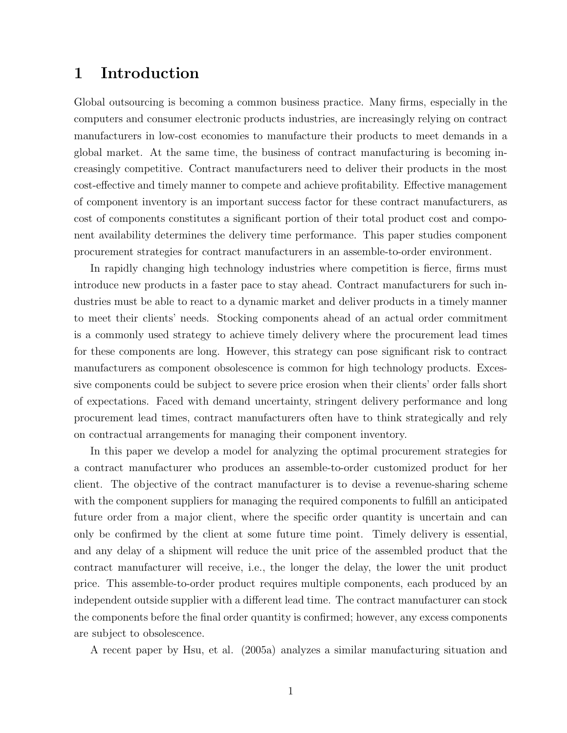#### **1 Introduction**

Global outsourcing is becoming a common business practice. Many firms, especially in the computers and consumer electronic products industries, are increasingly relying on contract manufacturers in low-cost economies to manufacture their products to meet demands in a global market. At the same time, the business of contract manufacturing is becoming increasingly competitive. Contract manufacturers need to deliver their products in the most cost-effective and timely manner to compete and achieve profitability. Effective management of component inventory is an important success factor for these contract manufacturers, as cost of components constitutes a significant portion of their total product cost and component availability determines the delivery time performance. This paper studies component procurement strategies for contract manufacturers in an assemble-to-order environment.

In rapidly changing high technology industries where competition is fierce, firms must introduce new products in a faster pace to stay ahead. Contract manufacturers for such industries must be able to react to a dynamic market and deliver products in a timely manner to meet their clients' needs. Stocking components ahead of an actual order commitment is a commonly used strategy to achieve timely delivery where the procurement lead times for these components are long. However, this strategy can pose significant risk to contract manufacturers as component obsolescence is common for high technology products. Excessive components could be subject to severe price erosion when their clients' order falls short of expectations. Faced with demand uncertainty, stringent delivery performance and long procurement lead times, contract manufacturers often have to think strategically and rely on contractual arrangements for managing their component inventory.

In this paper we develop a model for analyzing the optimal procurement strategies for a contract manufacturer who produces an assemble-to-order customized product for her client. The objective of the contract manufacturer is to devise a revenue-sharing scheme with the component suppliers for managing the required components to fulfill an anticipated future order from a major client, where the specific order quantity is uncertain and can only be confirmed by the client at some future time point. Timely delivery is essential, and any delay of a shipment will reduce the unit price of the assembled product that the contract manufacturer will receive, i.e., the longer the delay, the lower the unit product price. This assemble-to-order product requires multiple components, each produced by an independent outside supplier with a different lead time. The contract manufacturer can stock the components before the final order quantity is confirmed; however, any excess components are subject to obsolescence.

A recent paper by Hsu, et al. (2005a) analyzes a similar manufacturing situation and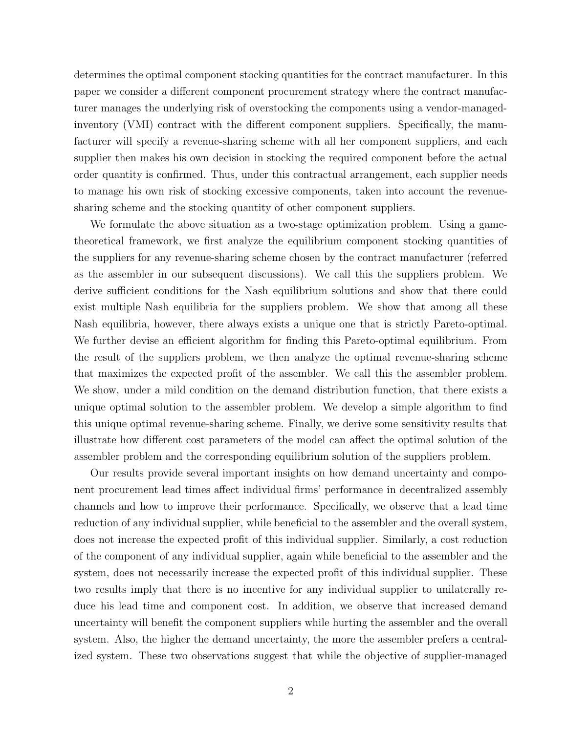determines the optimal component stocking quantities for the contract manufacturer. In this paper we consider a different component procurement strategy where the contract manufacturer manages the underlying risk of overstocking the components using a vendor-managedinventory (VMI) contract with the different component suppliers. Specifically, the manufacturer will specify a revenue-sharing scheme with all her component suppliers, and each supplier then makes his own decision in stocking the required component before the actual order quantity is confirmed. Thus, under this contractual arrangement, each supplier needs to manage his own risk of stocking excessive components, taken into account the revenuesharing scheme and the stocking quantity of other component suppliers.

We formulate the above situation as a two-stage optimization problem. Using a gametheoretical framework, we first analyze the equilibrium component stocking quantities of the suppliers for any revenue-sharing scheme chosen by the contract manufacturer (referred as the assembler in our subsequent discussions). We call this the suppliers problem. We derive sufficient conditions for the Nash equilibrium solutions and show that there could exist multiple Nash equilibria for the suppliers problem. We show that among all these Nash equilibria, however, there always exists a unique one that is strictly Pareto-optimal. We further devise an efficient algorithm for finding this Pareto-optimal equilibrium. From the result of the suppliers problem, we then analyze the optimal revenue-sharing scheme that maximizes the expected profit of the assembler. We call this the assembler problem. We show, under a mild condition on the demand distribution function, that there exists a unique optimal solution to the assembler problem. We develop a simple algorithm to find this unique optimal revenue-sharing scheme. Finally, we derive some sensitivity results that illustrate how different cost parameters of the model can affect the optimal solution of the assembler problem and the corresponding equilibrium solution of the suppliers problem.

Our results provide several important insights on how demand uncertainty and component procurement lead times affect individual firms' performance in decentralized assembly channels and how to improve their performance. Specifically, we observe that a lead time reduction of any individual supplier, while beneficial to the assembler and the overall system, does not increase the expected profit of this individual supplier. Similarly, a cost reduction of the component of any individual supplier, again while beneficial to the assembler and the system, does not necessarily increase the expected profit of this individual supplier. These two results imply that there is no incentive for any individual supplier to unilaterally reduce his lead time and component cost. In addition, we observe that increased demand uncertainty will benefit the component suppliers while hurting the assembler and the overall system. Also, the higher the demand uncertainty, the more the assembler prefers a centralized system. These two observations suggest that while the objective of supplier-managed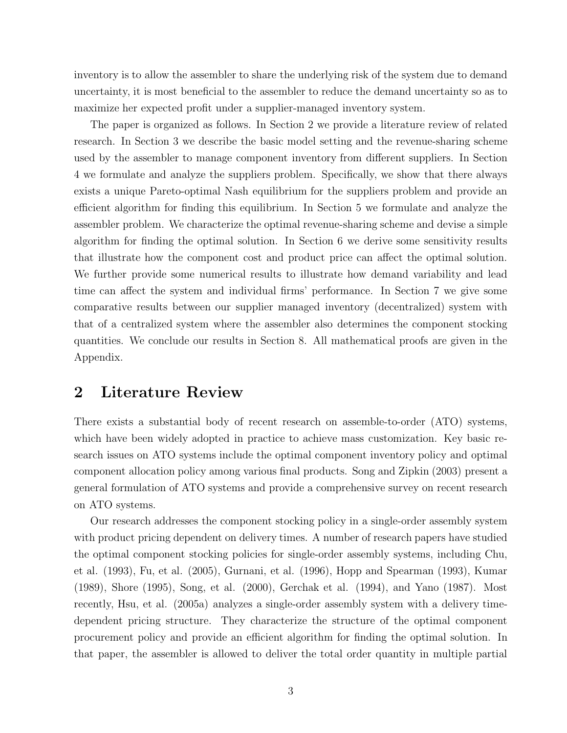inventory is to allow the assembler to share the underlying risk of the system due to demand uncertainty, it is most beneficial to the assembler to reduce the demand uncertainty so as to maximize her expected profit under a supplier-managed inventory system.

The paper is organized as follows. In Section 2 we provide a literature review of related research. In Section 3 we describe the basic model setting and the revenue-sharing scheme used by the assembler to manage component inventory from different suppliers. In Section 4 we formulate and analyze the suppliers problem. Specifically, we show that there always exists a unique Pareto-optimal Nash equilibrium for the suppliers problem and provide an efficient algorithm for finding this equilibrium. In Section 5 we formulate and analyze the assembler problem. We characterize the optimal revenue-sharing scheme and devise a simple algorithm for finding the optimal solution. In Section 6 we derive some sensitivity results that illustrate how the component cost and product price can affect the optimal solution. We further provide some numerical results to illustrate how demand variability and lead time can affect the system and individual firms' performance. In Section 7 we give some comparative results between our supplier managed inventory (decentralized) system with that of a centralized system where the assembler also determines the component stocking quantities. We conclude our results in Section 8. All mathematical proofs are given in the Appendix.

## **2 Literature Review**

There exists a substantial body of recent research on assemble-to-order (ATO) systems, which have been widely adopted in practice to achieve mass customization. Key basic research issues on ATO systems include the optimal component inventory policy and optimal component allocation policy among various final products. Song and Zipkin (2003) present a general formulation of ATO systems and provide a comprehensive survey on recent research on ATO systems.

Our research addresses the component stocking policy in a single-order assembly system with product pricing dependent on delivery times. A number of research papers have studied the optimal component stocking policies for single-order assembly systems, including Chu, et al. (1993), Fu, et al. (2005), Gurnani, et al. (1996), Hopp and Spearman (1993), Kumar (1989), Shore (1995), Song, et al. (2000), Gerchak et al. (1994), and Yano (1987). Most recently, Hsu, et al. (2005a) analyzes a single-order assembly system with a delivery timedependent pricing structure. They characterize the structure of the optimal component procurement policy and provide an efficient algorithm for finding the optimal solution. In that paper, the assembler is allowed to deliver the total order quantity in multiple partial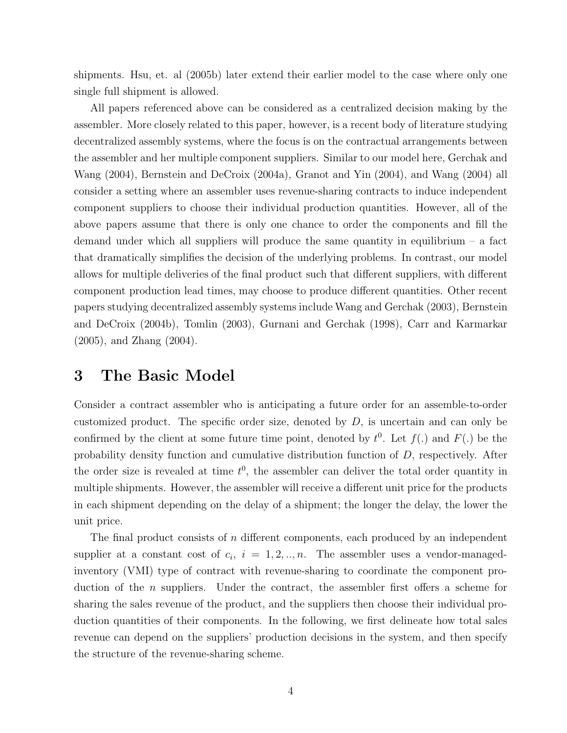shipments. Hsu, et. al (2005b) later extend their earlier model to the case where only one single full shipment is allowed.

All papers referenced above can be considered as a centralized decision making by the assembler. More closely related to this paper, however, is a recent body of literature studying decentralized assembly systems, where the focus is on the contractual arrangements between the assembler and her multiple component suppliers. Similar to our model here, Gerchak and Wang (2004), Bernstein and DeCroix (2004a), Granot and Yin (2004), and Wang (2004) all consider a setting where an assembler uses revenue-sharing contracts to induce independent component suppliers to choose their individual production quantities. However, all of the above papers assume that there is only one chance to order the components and fill the demand under which all suppliers will produce the same quantity in equilibrium  $-$  a fact that dramatically simplifies the decision of the underlying problems. In contrast, our model allows for multiple deliveries of the final product such that different suppliers, with different component production lead times, may choose to produce different quantities. Other recent papers studying decentralized assembly systems include Wang and Gerchak (2003), Bernstein and DeCroix (2004b), Tomlin (2003), Gurnani and Gerchak (1998), Carr and Karmarkar (2005), and Zhang (2004).

#### **3 The Basic Model**

Consider a contract assembler who is anticipating a future order for an assemble-to-order customized product. The specific order size, denoted by  $D$ , is uncertain and can only be confirmed by the client at some future time point, denoted by  $t^0$ . Let  $f(.)$  and  $F(.)$  be the probability density function and cumulative distribution function of D, respectively. After the order size is revealed at time  $t^0$ , the assembler can deliver the total order quantity in multiple shipments. However, the assembler will receive a different unit price for the products in each shipment depending on the delay of a shipment; the longer the delay, the lower the unit price.

The final product consists of n different components, each produced by an independent supplier at a constant cost of  $c_i$ ,  $i = 1, 2, ..., n$ . The assembler uses a vendor-managedinventory (VMI) type of contract with revenue-sharing to coordinate the component production of the *n* suppliers. Under the contract, the assembler first offers a scheme for sharing the sales revenue of the product, and the suppliers then choose their individual production quantities of their components. In the following, we first delineate how total sales revenue can depend on the suppliers' production decisions in the system, and then specify the structure of the revenue-sharing scheme.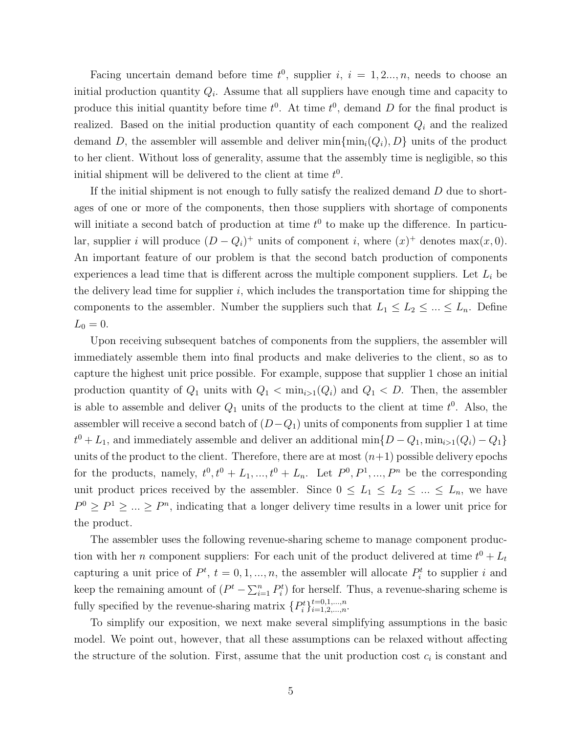Facing uncertain demand before time  $t^0$ , supplier i,  $i = 1, 2..., n$ , needs to choose an initial production quantity Q*i*. Assume that all suppliers have enough time and capacity to produce this initial quantity before time  $t^0$ . At time  $t^0$ , demand D for the final product is realized. Based on the initial production quantity of each component Q*<sup>i</sup>* and the realized demand D, the assembler will assemble and deliver  $\min\{\min_i(Q_i), D\}$  units of the product to her client. Without loss of generality, assume that the assembly time is negligible, so this initial shipment will be delivered to the client at time  $t^0$ .

If the initial shipment is not enough to fully satisfy the realized demand  $D$  due to shortages of one or more of the components, then those suppliers with shortage of components will initiate a second batch of production at time  $t^0$  to make up the difference. In particular, supplier *i* will produce  $(D - Q_i)^+$  units of component *i*, where  $(x)^+$  denotes max $(x, 0)$ . An important feature of our problem is that the second batch production of components experiences a lead time that is different across the multiple component suppliers. Let L*<sup>i</sup>* be the delivery lead time for supplier  $i$ , which includes the transportation time for shipping the components to the assembler. Number the suppliers such that  $L_1 \le L_2 \le ... \le L_n$ . Define  $L_0 = 0.$ 

Upon receiving subsequent batches of components from the suppliers, the assembler will immediately assemble them into final products and make deliveries to the client, so as to capture the highest unit price possible. For example, suppose that supplier 1 chose an initial production quantity of  $Q_1$  units with  $Q_1 < \min_{i>1}(Q_i)$  and  $Q_1 < D$ . Then, the assembler is able to assemble and deliver  $Q_1$  units of the products to the client at time  $t^0$ . Also, the assembler will receive a second batch of  $(D-Q_1)$  units of components from supplier 1 at time  $t^0 + L_1$ , and immediately assemble and deliver an additional min $\{D - Q_1, \min_{i>1}(Q_i) - Q_1\}$ units of the product to the client. Therefore, there are at most  $(n+1)$  possible delivery epochs for the products, namely,  $t^0, t^0 + L_1, ..., t^0 + L_n$ . Let  $P^0, P^1, ..., P^n$  be the corresponding unit product prices received by the assembler. Since  $0 \leq L_1 \leq L_2 \leq ... \leq L_n$ , we have  $P^0 \ge P^1 \ge \ldots \ge P^n$ , indicating that a longer delivery time results in a lower unit price for the product.

The assembler uses the following revenue-sharing scheme to manage component production with her *n* component suppliers: For each unit of the product delivered at time  $t^0 + L_t$ capturing a unit price of  $P^t$ ,  $t = 0, 1, ..., n$ , the assembler will allocate  $P_i^t$  to supplier i and keep the remaining amount of  $(P^t - \sum_{i=1}^n P_i^t)$  for herself. Thus, a revenue-sharing scheme is fully specified by the revenue-sharing matrix  $\{P_i^t\}_{i=1,2,...,n}^{t=0,1,...,n}$ .

To simplify our exposition, we next make several simplifying assumptions in the basic model. We point out, however, that all these assumptions can be relaxed without affecting the structure of the solution. First, assume that the unit production cost  $c_i$  is constant and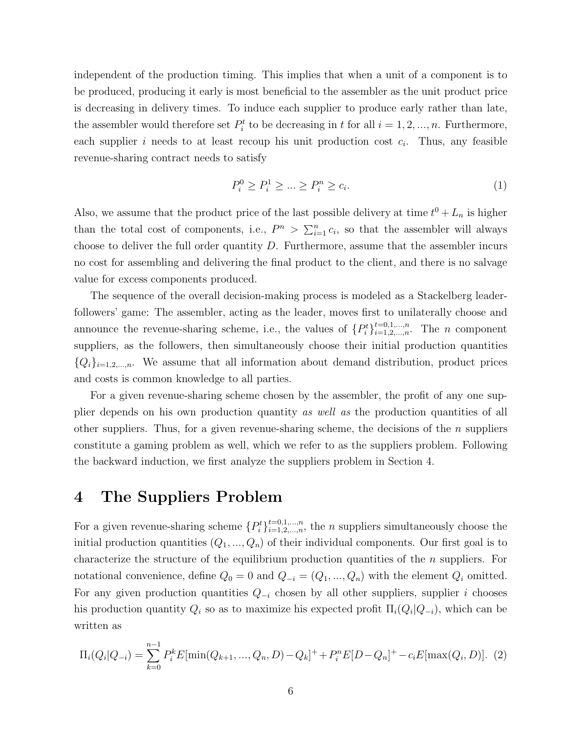independent of the production timing. This implies that when a unit of a component is to be produced, producing it early is most beneficial to the assembler as the unit product price is decreasing in delivery times. To induce each supplier to produce early rather than late, the assembler would therefore set  $P_i^t$  to be decreasing in t for all  $i = 1, 2, ..., n$ . Furthermore, each supplier i needs to at least recoup his unit production cost  $c_i$ . Thus, any feasible revenue-sharing contract needs to satisfy

$$
P_i^0 \ge P_i^1 \ge \dots \ge P_i^n \ge c_i. \tag{1}
$$

Also, we assume that the product price of the last possible delivery at time  $t^0 + L_n$  is higher than the total cost of components, i.e.,  $P^n > \sum_{i=1}^n c_i$ , so that the assembler will always choose to deliver the full order quantity  $D$ . Furthermore, assume that the assembler incurs no cost for assembling and delivering the final product to the client, and there is no salvage value for excess components produced.

The sequence of the overall decision-making process is modeled as a Stackelberg leaderfollowers' game: The assembler, acting as the leader, moves first to unilaterally choose and announce the revenue-sharing scheme, i.e., the values of  $\{P_i^t\}_{i=1,2,\dots,n}^{t=0,1,\dots,n}$ . The *n* component suppliers, as the followers, then simultaneously choose their initial production quantities  ${Q_i}_{i=1,2,...,n}$ . We assume that all information about demand distribution, product prices and costs is common knowledge to all parties.

For a given revenue-sharing scheme chosen by the assembler, the profit of any one supplier depends on his own production quantity *as well as* the production quantities of all other suppliers. Thus, for a given revenue-sharing scheme, the decisions of the  $n$  suppliers constitute a gaming problem as well, which we refer to as the suppliers problem. Following the backward induction, we first analyze the suppliers problem in Section 4.

### **4 The Suppliers Problem**

For a given revenue-sharing scheme  $\{P_i^t\}_{i=1,2,...,n}^{t=0,1,...,n}$ , the *n* suppliers simultaneously choose the initial production quantities  $(Q_1, ..., Q_n)$  of their individual components. Our first goal is to characterize the structure of the equilibrium production quantities of the  $n$  suppliers. For notational convenience, define  $Q_0 = 0$  and  $Q_{-i} = (Q_1, ..., Q_n)$  with the element  $Q_i$  omitted. For any given production quantities  $Q_{-i}$  chosen by all other suppliers, supplier i chooses his production quantity  $Q_i$  so as to maximize his expected profit  $\Pi_i(Q_i|Q_{-i})$ , which can be written as

$$
\Pi_i(Q_i|Q_{-i}) = \sum_{k=0}^{n-1} P_i^k E[\min(Q_{k+1},...,Q_n,D)-Q_k]^+ + P_i^n E[D-Q_n]^+ - c_i E[\max(Q_i,D)].
$$
 (2)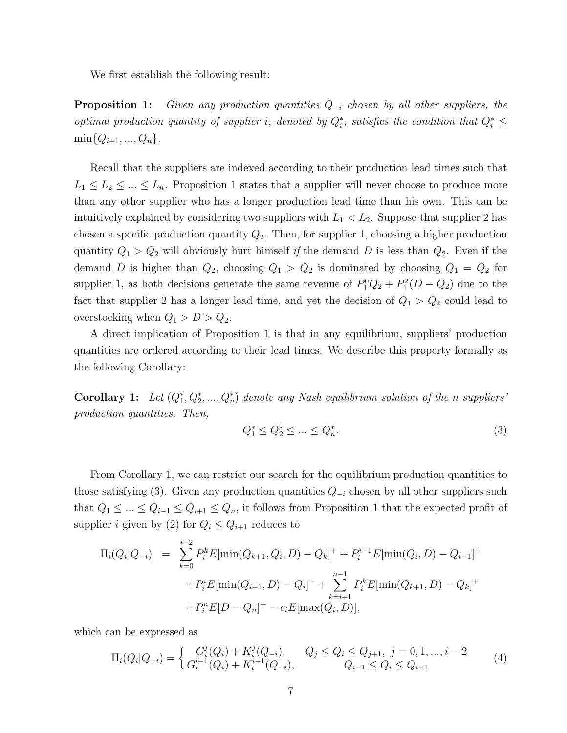We first establish the following result:

**Proposition 1:** *Given any production quantities* <sup>Q</sup>−*<sup>i</sup> chosen by all other suppliers, the optimal production quantity of supplier i, denoted by*  $Q_i^*$ , satisfies the condition that  $Q_i^* \leq$  $\min\{Q_{i+1},...,Q_n\}.$ 

Recall that the suppliers are indexed according to their production lead times such that  $L_1 \leq L_2 \leq \ldots \leq L_n$ . Proposition 1 states that a supplier will never choose to produce more than any other supplier who has a longer production lead time than his own. This can be intuitively explained by considering two suppliers with  $L_1 < L_2$ . Suppose that supplier 2 has chosen a specific production quantity  $Q_2$ . Then, for supplier 1, choosing a higher production quantity  $Q_1 > Q_2$  will obviously hurt himself *if* the demand D is less than  $Q_2$ . Even if the demand D is higher than  $Q_2$ , choosing  $Q_1 > Q_2$  is dominated by choosing  $Q_1 = Q_2$  for supplier 1, as both decisions generate the same revenue of  $P_1^0Q_2 + P_1^2(D - Q_2)$  due to the fact that supplier 2 has a longer lead time, and yet the decision of  $Q_1 > Q_2$  could lead to overstocking when  $Q_1 > D > Q_2$ .

A direct implication of Proposition 1 is that in any equilibrium, suppliers' production quantities are ordered according to their lead times. We describe this property formally as the following Corollary:

**Corollary 1:** Let  $(Q_1^*, Q_2^*, ..., Q_n^*)$  denote any Nash equilibrium solution of the n suppliers' *production quantities. Then,*

$$
Q_1^* \le Q_2^* \le \dots \le Q_n^*.\tag{3}
$$

From Corollary 1, we can restrict our search for the equilibrium production quantities to those satisfying (3). Given any production quantities <sup>Q</sup>−*<sup>i</sup>* chosen by all other suppliers such that  $Q_1 \leq \ldots \leq Q_{i-1} \leq Q_{i+1} \leq Q_n$ , it follows from Proposition 1 that the expected profit of supplier *i* given by (2) for  $Q_i \leq Q_{i+1}$  reduces to

$$
\Pi_i(Q_i|Q_{-i}) = \sum_{k=0}^{i-2} P_i^k E[\min(Q_{k+1}, Q_i, D) - Q_k]^+ + P_i^{i-1} E[\min(Q_i, D) - Q_{i-1}]^+
$$
  
+ 
$$
P_i^i E[\min(Q_{i+1}, D) - Q_i]^+ + \sum_{k=i+1}^{n-1} P_i^k E[\min(Q_{k+1}, D) - Q_k]^+ + P_i^n E[D - Q_n]^+ - c_i E[\max(Q_i, D)],
$$

which can be expressed as

$$
\Pi_i(Q_i|Q_{-i}) = \begin{cases} G_i^j(Q_i) + K_i^j(Q_{-i}), & Q_j \le Q_i \le Q_{j+1}, j = 0, 1, ..., i-2\\ G_i^{i-1}(Q_i) + K_i^{i-1}(Q_{-i}), & Q_{i-1} \le Q_i \le Q_{i+1} \end{cases}
$$
(4)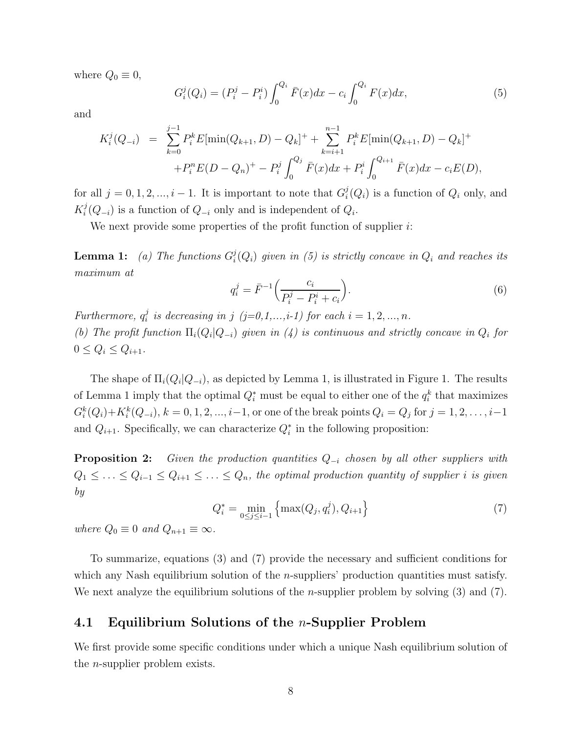where  $Q_0 \equiv 0$ ,

$$
G_i^j(Q_i) = (P_i^j - P_i^i) \int_0^{Q_i} \bar{F}(x) dx - c_i \int_0^{Q_i} F(x) dx, \tag{5}
$$

and

$$
K_i^j(Q_{-i}) = \sum_{k=0}^{j-1} P_i^k E[\min(Q_{k+1}, D) - Q_k]^+ + \sum_{k=i+1}^{n-1} P_i^k E[\min(Q_{k+1}, D) - Q_k]^+ + P_i^n E(D - Q_n)^+ - P_i^j \int_0^{Q_j} \bar{F}(x) dx + P_i^i \int_0^{Q_{i+1}} \bar{F}(x) dx - c_i E(D),
$$

for all  $j = 0, 1, 2, ..., i - 1$ . It is important to note that  $G_i^j(Q_i)$  is a function of  $Q_i$  only, and  $K_i^j(Q_{-i})$  is a function of  $Q_{-i}$  only and is independent of  $Q_i$ .

We next provide some properties of the profit function of supplier  $i$ :

**Lemma 1:** (a) The functions  $G_i^j(Q_i)$  given in (5) is strictly concave in  $Q_i$  and reaches its *maximum at*

$$
q_i^j = \bar{F}^{-1} \left( \frac{c_i}{P_i^j - P_i^i + c_i} \right).
$$
 (6)

*Furthermore,*  $q_i^j$  *is decreasing in j* (*j*=0,1,...,*i*-1) for each  $i = 1, 2, ..., n$ .

*(b)* The profit function  $\Pi_i(Q_i|Q_{-i})$  given in (4) is continuous and strictly concave in  $Q_i$  for  $0 \le Q_i \le Q_{i+1}$ .

The shape of  $\Pi_i(Q_i|Q_{-i})$ , as depicted by Lemma 1, is illustrated in Figure 1. The results of Lemma 1 imply that the optimal  $Q_i^*$  must be equal to either one of the  $q_i^k$  that maximizes  $G_i^k(Q_i) + K_i^k(Q_{-i}), k = 0, 1, 2, ..., i-1$ , or one of the break points  $Q_i = Q_j$  for  $j = 1, 2, ..., i-1$ and  $Q_{i+1}$ . Specifically, we can characterize  $Q_i^*$  in the following proposition:

**Proposition 2:** *Given the production quantities* <sup>Q</sup>−*<sup>i</sup> chosen by all other suppliers with*  $Q_1 \leq \ldots \leq Q_{i-1} \leq Q_{i+1} \leq \ldots \leq Q_n$ , the optimal production quantity of supplier *i* is given *by*

$$
Q_i^* = \min_{0 \le j \le i-1} \left\{ \max(Q_j, q_i^j), Q_{i+1} \right\} \tag{7}
$$

*where*  $Q_0 \equiv 0$  *and*  $Q_{n+1} \equiv \infty$ *.* 

To summarize, equations (3) and (7) provide the necessary and sufficient conditions for which any Nash equilibrium solution of the *n*-suppliers' production quantities must satisfy. We next analyze the equilibrium solutions of the *n*-supplier problem by solving  $(3)$  and  $(7)$ .

#### **4.1 Equilibrium Solutions of the** n**-Supplier Problem**

We first provide some specific conditions under which a unique Nash equilibrium solution of the n-supplier problem exists.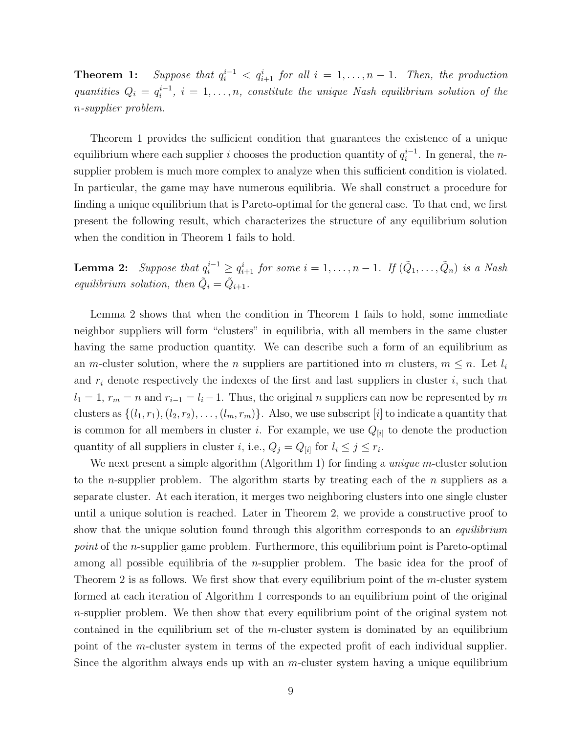**Theorem 1:** *Suppose that*  $q_i^{i-1} < q_{i+1}^i$  *for all*  $i = 1, ..., n-1$ *. Then, the production quantities*  $Q_i = q_i^{i-1}, i = 1, \ldots, n$ , constitute the unique Nash equilibrium solution of the n*-supplier problem.*

Theorem 1 provides the sufficient condition that guarantees the existence of a unique equilibrium where each supplier *i* chooses the production quantity of  $q_i^{i-1}$ . In general, the *n*supplier problem is much more complex to analyze when this sufficient condition is violated. In particular, the game may have numerous equilibria. We shall construct a procedure for finding a unique equilibrium that is Pareto-optimal for the general case. To that end, we first present the following result, which characterizes the structure of any equilibrium solution when the condition in Theorem 1 fails to hold.

**Lemma 2:** *Suppose that*  $q_i^{i-1} \geq q_{i+1}^i$  *for some*  $i = 1, \ldots, n-1$ *. If*  $(\tilde{Q}_1, \ldots, \tilde{Q}_n)$  *is a Nash equilibrium solution, then*  $\tilde{Q}_i = \tilde{Q}_{i+1}$ *.* 

Lemma 2 shows that when the condition in Theorem 1 fails to hold, some immediate neighbor suppliers will form "clusters" in equilibria, with all members in the same cluster having the same production quantity. We can describe such a form of an equilibrium as an m-cluster solution, where the *n* suppliers are partitioned into *m* clusters,  $m \leq n$ . Let  $l_i$ and  $r_i$  denote respectively the indexes of the first and last suppliers in cluster  $i$ , such that  $l_1 = 1$ ,  $r_m = n$  and  $r_{i-1} = l_i - 1$ . Thus, the original n suppliers can now be represented by m clusters as  $\{(l_1, r_1), (l_2, r_2), \ldots, (l_m, r_m)\}.$  Also, we use subscript [i] to indicate a quantity that is common for all members in cluster *i*. For example, we use  $Q_{[i]}$  to denote the production quantity of all suppliers in cluster *i*, i.e.,  $Q_j = Q_{[i]}$  for  $l_i \leq j \leq r_i$ .

We next present a simple algorithm (Algorithm 1) for finding a *unique* m-cluster solution to the *n*-supplier problem. The algorithm starts by treating each of the *n* suppliers as a separate cluster. At each iteration, it merges two neighboring clusters into one single cluster until a unique solution is reached. Later in Theorem 2, we provide a constructive proof to show that the unique solution found through this algorithm corresponds to an *equilibrium point* of the *n*-supplier game problem. Furthermore, this equilibrium point is Pareto-optimal among all possible equilibria of the n-supplier problem. The basic idea for the proof of Theorem 2 is as follows. We first show that every equilibrium point of the m-cluster system formed at each iteration of Algorithm 1 corresponds to an equilibrium point of the original  $n$ -supplier problem. We then show that every equilibrium point of the original system not contained in the equilibrium set of the  $m$ -cluster system is dominated by an equilibrium point of the m-cluster system in terms of the expected profit of each individual supplier. Since the algorithm always ends up with an  $m$ -cluster system having a unique equilibrium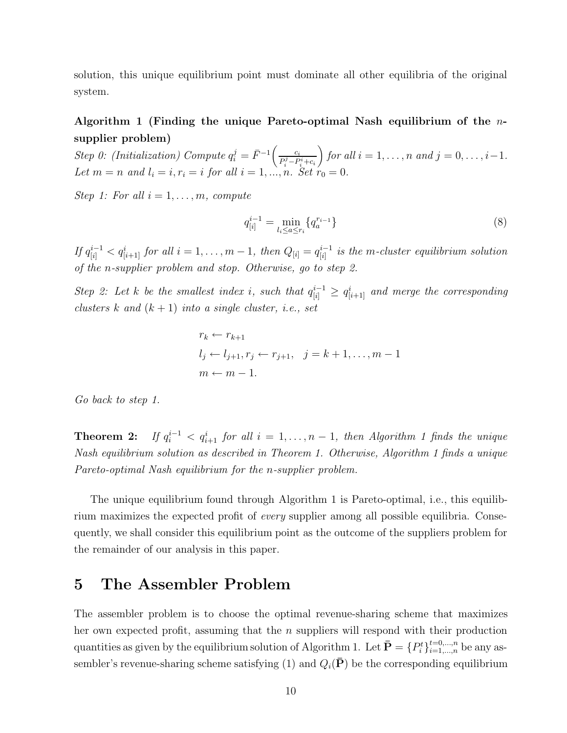solution, this unique equilibrium point must dominate all other equilibria of the original system.

#### **Algorithm 1 (Finding the unique Pareto-optimal Nash equilibrium of the** n**supplier problem)**

 $Step 0: (Initialization) Compute q_i^j = \bar{F}^{-1} \left( \frac{c_i}{P_i^j - P_i^i + c_i} \right)$ *for all*  $i = 1, ..., n$  *and*  $j = 0, ..., i-1$ *. Let*  $m = n$  *and*  $l_i = i, r_i = i$  *for all*  $i = 1, ..., n$ *. Set*  $r_0 = 0$ *.* 

*Step 1: For all*  $i = 1, \ldots, m$ *, compute* 

$$
q_{[i]}^{i-1} = \min_{l_i \le a \le r_i} \{q_a^{r_{i-1}}\} \tag{8}
$$

 $If q_{[i]}^{i-1} < q_{[i+1]}^i$  *for all*  $i = 1, \ldots, m-1$ , then  $Q_{[i]} = q_{[i]}^{i-1}$  is the m-cluster equilibrium solution *of the* n*-supplier problem and stop. Otherwise, go to step 2.*

*Step 2: Let k be the smallest index i*, such that  $q_{[i]}^{i-1} ≥ q_{[i+1]}^i$  and merge the corresponding *clusters* k and  $(k+1)$  *into a single cluster, i.e., set* 

$$
r_k \leftarrow r_{k+1}
$$
  
\n
$$
l_j \leftarrow l_{j+1}, r_j \leftarrow r_{j+1}, \quad j = k+1, \dots, m-1
$$
  
\n
$$
m \leftarrow m-1.
$$

*Go back to step 1.*

Theorem 2:  $q_i^{i-1} < q_{i+1}^i$  for all  $i = 1, \ldots, n-1$ , then Algorithm 1 finds the unique *Nash equilibrium solution as described in Theorem 1. Otherwise, Algorithm 1 finds a unique Pareto-optimal Nash equilibrium for the* n*-supplier problem.*

The unique equilibrium found through Algorithm 1 is Pareto-optimal, i.e., this equilibrium maximizes the expected profit of *every* supplier among all possible equilibria. Consequently, we shall consider this equilibrium point as the outcome of the suppliers problem for the remainder of our analysis in this paper.

#### **5 The Assembler Problem**

The assembler problem is to choose the optimal revenue-sharing scheme that maximizes her own expected profit, assuming that the  $n$  suppliers will respond with their production quantities as given by the equilibrium solution of Algorithm 1. Let  $\bar{\mathbf{P}} = \{P_i^t\}_{i=1,\dots,n}^{t=0,\dots,n}$  be any assembler's revenue-sharing scheme satisfying (1) and  $Q_i(\bar{P})$  be the corresponding equilibrium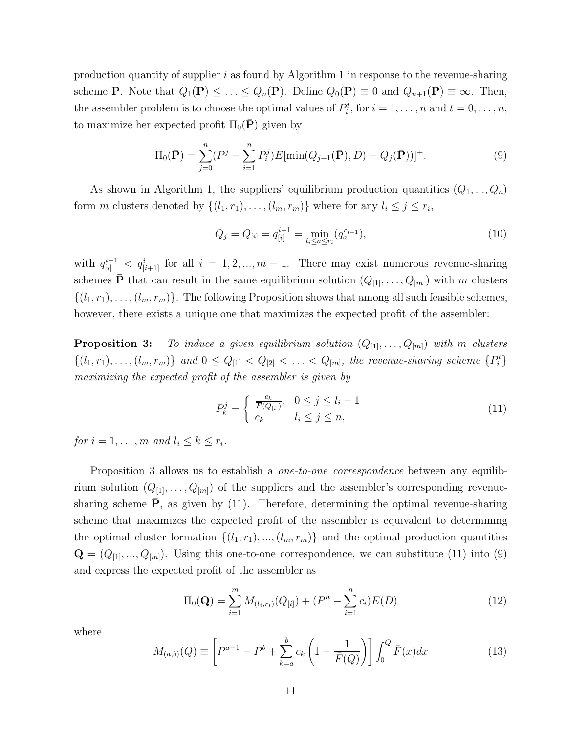production quantity of supplier  $i$  as found by Algorithm 1 in response to the revenue-sharing scheme  $\bar{\mathbf{P}}$ . Note that  $Q_1(\bar{\mathbf{P}}) \leq \ldots \leq Q_n(\bar{\mathbf{P}})$ . Define  $Q_0(\bar{\mathbf{P}}) \equiv 0$  and  $Q_{n+1}(\bar{\mathbf{P}}) \equiv \infty$ . Then, the assembler problem is to choose the optimal values of  $P_i^t$ , for  $i = 1, \ldots, n$  and  $t = 0, \ldots, n$ , to maximize her expected profit  $\Pi_0(\mathbf{P})$  given by

$$
\Pi_0(\bar{\mathbf{P}}) = \sum_{j=0}^n (P^j - \sum_{i=1}^n P_i^j) E[\min(Q_{j+1}(\bar{\mathbf{P}}), D) - Q_j(\bar{\mathbf{P}}))]^+.
$$
\n(9)

As shown in Algorithm 1, the suppliers' equilibrium production quantities  $(Q_1, ..., Q_n)$ form *m* clusters denoted by  $\{(l_1, r_1), \ldots, (l_m, r_m)\}\$  where for any  $l_i \leq j \leq r_i$ ,

$$
Q_j = Q_{[i]} = q_{[i]}^{i-1} = \min_{l_i \le a \le r_i} (q_a^{r_{i-1}}),
$$
\n(10)

with  $q_{[i]}^{i-1} < q_{[i+1]}^i$  for all  $i = 1, 2, ..., m-1$ . There may exist numerous revenue-sharing schemes  $\bar{\mathbf{P}}$  that can result in the same equilibrium solution  $(Q_{[1]}, \ldots, Q_{[m]})$  with m clusters  $\{(l_1,r_1),\ldots,(l_m,r_m)\}\.$  The following Proposition shows that among all such feasible schemes, however, there exists a unique one that maximizes the expected profit of the assembler:

**Proposition 3:** To induce a given equilibrium solution  $(Q_{[1]}, \ldots, Q_{[m]})$  with m clusters  $\{(l_1, r_1), \ldots, (l_m, r_m)\}\$  and  $0 \leq Q_{[1]} < Q_{[2]} < \ldots < Q_{[m]}$ , the revenue-sharing scheme  $\{P_i^t\}$ *maximizing the expected profit of the assembler is given by*

$$
P_k^j = \begin{cases} \frac{c_k}{\overline{F}(Q_{[i]})}, & 0 \le j \le l_i - 1\\ c_k & l_i \le j \le n, \end{cases}
$$
\n(11)

*for*  $i = 1, ..., m$  *and*  $l_i \leq k \leq r_i$ *.* 

Proposition 3 allows us to establish a *one-to-one correspondence* between any equilibrium solution  $(Q_{[1]},...,Q_{[m]})$  of the suppliers and the assembler's corresponding revenuesharing scheme  $\bar{P}$ , as given by (11). Therefore, determining the optimal revenue-sharing scheme that maximizes the expected profit of the assembler is equivalent to determining the optimal cluster formation  $\{(l_1, r_1), ..., (l_m, r_m)\}\$  and the optimal production quantities  $\mathbf{Q} = (Q_{[1]},...,Q_{[m]})$ . Using this one-to-one correspondence, we can substitute (11) into (9) and express the expected profit of the assembler as

$$
\Pi_0(\mathbf{Q}) = \sum_{i=1}^m M_{(l_i, r_i)}(Q_{[i]}) + (P^n - \sum_{i=1}^n c_i)E(D)
$$
\n(12)

where

$$
M_{(a,b)}(Q) \equiv \left[ P^{a-1} - P^b + \sum_{k=a}^{b} c_k \left( 1 - \frac{1}{\bar{F}(Q)} \right) \right] \int_0^Q \bar{F}(x) dx \tag{13}
$$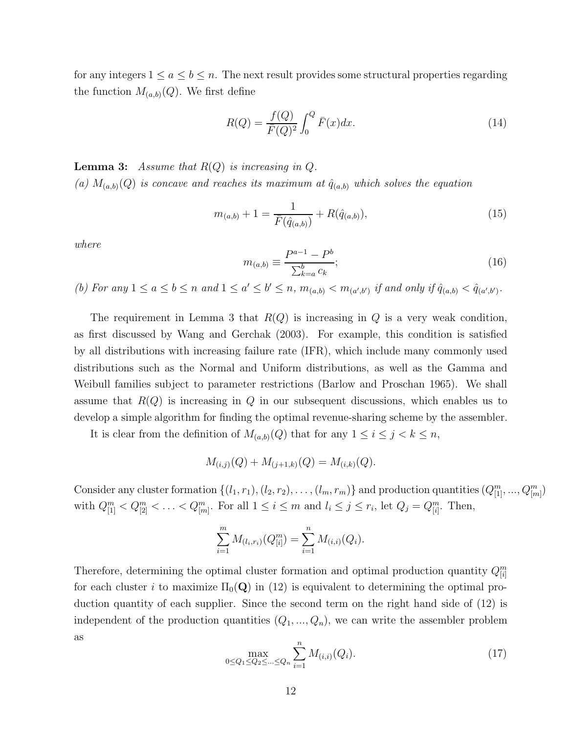for any integers  $1 \le a \le b \le n$ . The next result provides some structural properties regarding the function  $M_{(a,b)}(Q)$ . We first define

$$
R(Q) = \frac{f(Q)}{\bar{F}(Q)^2} \int_0^Q \bar{F}(x) dx.
$$
 (14)

**Lemma 3:** Assume that  $R(Q)$  is increasing in  $Q$ . (a)  $M_{(a,b)}(Q)$  *is concave and reaches its maximum at*  $\hat{q}_{(a,b)}$  *which solves the equation* 

$$
m_{(a,b)} + 1 = \frac{1}{\bar{F}(\hat{q}_{(a,b)})} + R(\hat{q}_{(a,b)}),
$$
\n(15)

*where*

$$
m_{(a,b)} \equiv \frac{P^{a-1} - P^b}{\sum_{k=a}^b c_k};
$$
\n(16)

*(b)* For any  $1 \le a \le b \le n$  and  $1 \le a' \le b' \le n$ ,  $m_{(a,b)} < m_{(a',b')}$  if and only if  $\hat{q}_{(a,b)} < \hat{q}_{(a',b')}$ .

The requirement in Lemma 3 that  $R(Q)$  is increasing in Q is a very weak condition, as first discussed by Wang and Gerchak (2003). For example, this condition is satisfied by all distributions with increasing failure rate (IFR), which include many commonly used distributions such as the Normal and Uniform distributions, as well as the Gamma and Weibull families subject to parameter restrictions (Barlow and Proschan 1965). We shall assume that  $R(Q)$  is increasing in Q in our subsequent discussions, which enables us to develop a simple algorithm for finding the optimal revenue-sharing scheme by the assembler.

It is clear from the definition of  $M_{(a,b)}(Q)$  that for any  $1 \leq i \leq j < k \leq n$ ,

$$
M_{(i,j)}(Q) + M_{(j+1,k)}(Q) = M_{(i,k)}(Q).
$$

Consider any cluster formation  $\{(l_1, r_1), (l_2, r_2), \ldots, (l_m, r_m)\}$  and production quantities  $(Q_{[1]}^m, ..., Q_{[m]}^m)$ with  $Q_{[1]}^m < Q_{[2]}^m < ... < Q_{[m]}^m$ . For all  $1 \le i \le m$  and  $l_i \le j \le r_i$ , let  $Q_j = Q_{[i]}^m$ . Then,

$$
\sum_{i=1}^{m} M_{(l_i,r_i)}(Q_{[i]}^m) = \sum_{i=1}^{n} M_{(i,i)}(Q_i).
$$

Therefore, determining the optimal cluster formation and optimal production quantity Q*<sup>m</sup>* [*i*] for each cluster i to maximize  $\Pi_0(Q)$  in (12) is equivalent to determining the optimal production quantity of each supplier. Since the second term on the right hand side of (12) is independent of the production quantities  $(Q_1, ..., Q_n)$ , we can write the assembler problem as *n*

$$
\max_{0 \le Q_1 \le Q_2 \le \dots \le Q_n} \sum_{i=1}^n M_{(i,i)}(Q_i). \tag{17}
$$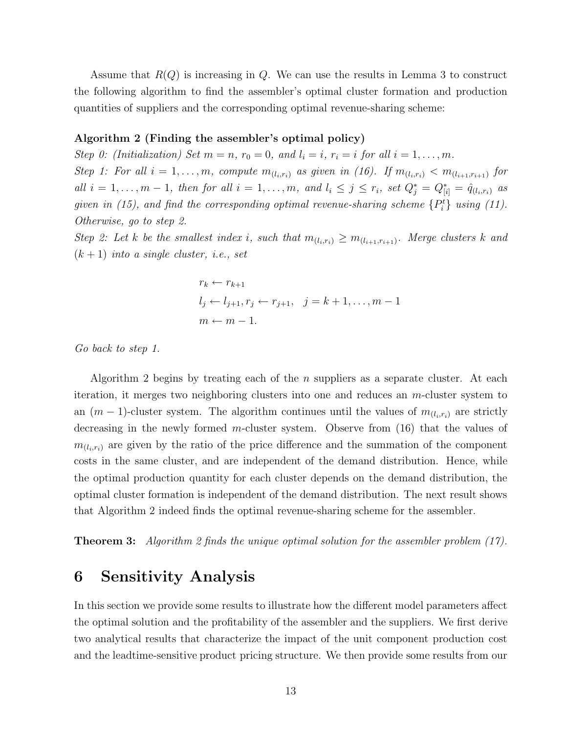Assume that  $R(Q)$  is increasing in Q. We can use the results in Lemma 3 to construct the following algorithm to find the assembler's optimal cluster formation and production quantities of suppliers and the corresponding optimal revenue-sharing scheme:

#### **Algorithm 2 (Finding the assembler's optimal policy)**

*Step 0: (Initialization) Set*  $m = n$ ,  $r_0 = 0$ , and  $l_i = i$ ,  $r_i = i$  for all  $i = 1, \ldots, m$ . *Step 1: For all*  $i = 1, ..., m$ , compute  $m_{(l_i,r_i)}$  as given in (16). If  $m_{(l_i,r_i)} < m_{(l_{i+1},r_{i+1})}$  for *all*  $i = 1, ..., m - 1$ *, then for all*  $i = 1, ..., m$ *, and*  $l_i \leq j \leq r_i$ *, set*  $Q_j^* = Q_{[i]}^* = \hat{q}_{(l_i, r_i)}$  *as given in (15), and find the corresponding optimal revenue-sharing scheme*  ${P_i^t}$  *using (11). Otherwise, go to step 2.*

*Step 2: Let* k *be the smallest index i*, such that  $m_{(l_i,r_i)} \geq m_{(l_{i+1},r_{i+1})}$ *. Merge clusters* k and (k + 1) *into a single cluster, i.e., set*

$$
r_k \leftarrow r_{k+1}
$$
  
\n
$$
l_j \leftarrow l_{j+1}, r_j \leftarrow r_{j+1}, \quad j = k+1, \dots, m-1
$$
  
\n
$$
m \leftarrow m-1.
$$

*Go back to step 1.*

Algorithm 2 begins by treating each of the n suppliers as a separate cluster. At each iteration, it merges two neighboring clusters into one and reduces an m-cluster system to an  $(m-1)$ -cluster system. The algorithm continues until the values of  $m_{(l_i,r_i)}$  are strictly decreasing in the newly formed m-cluster system. Observe from (16) that the values of  $m_{(l_i,r_i)}$  are given by the ratio of the price difference and the summation of the component costs in the same cluster, and are independent of the demand distribution. Hence, while the optimal production quantity for each cluster depends on the demand distribution, the optimal cluster formation is independent of the demand distribution. The next result shows that Algorithm 2 indeed finds the optimal revenue-sharing scheme for the assembler.

**Theorem 3:** *Algorithm 2 finds the unique optimal solution for the assembler problem (17).*

## **6 Sensitivity Analysis**

In this section we provide some results to illustrate how the different model parameters affect the optimal solution and the profitability of the assembler and the suppliers. We first derive two analytical results that characterize the impact of the unit component production cost and the leadtime-sensitive product pricing structure. We then provide some results from our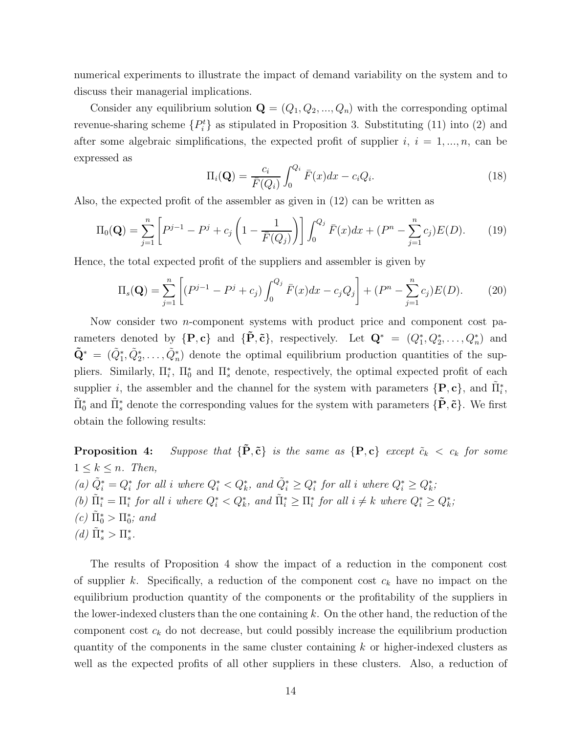numerical experiments to illustrate the impact of demand variability on the system and to discuss their managerial implications.

Consider any equilibrium solution  $\mathbf{Q} = (Q_1, Q_2, ..., Q_n)$  with the corresponding optimal revenue-sharing scheme  $\{P_i^t\}$  as stipulated in Proposition 3. Substituting (11) into (2) and after some algebraic simplifications, the expected profit of supplier  $i, i = 1, ..., n$ , can be expressed as

$$
\Pi_i(\mathbf{Q}) = \frac{c_i}{\bar{F}(Q_i)} \int_0^{Q_i} \bar{F}(x) dx - c_i Q_i.
$$
\n(18)

Also, the expected profit of the assembler as given in (12) can be written as

$$
\Pi_0(\mathbf{Q}) = \sum_{j=1}^n \left[ P^{j-1} - P^j + c_j \left( 1 - \frac{1}{\bar{F}(Q_j)} \right) \right] \int_0^{Q_j} \bar{F}(x) dx + (P^n - \sum_{j=1}^n c_j) E(D). \tag{19}
$$

Hence, the total expected profit of the suppliers and assembler is given by

$$
\Pi_s(\mathbf{Q}) = \sum_{j=1}^n \left[ (P^{j-1} - P^j + c_j) \int_0^{Q_j} \bar{F}(x) dx - c_j Q_j \right] + (P^n - \sum_{j=1}^n c_j) E(D). \tag{20}
$$

Now consider two n-component systems with product price and component cost parameters denoted by  $\{P, c\}$  and  $\{\tilde{P}, \tilde{c}\}$ , respectively. Let  $Q^* = (Q_1^*, Q_2^*, \ldots, Q_n^*)$  and  $\tilde{\mathbf{Q}}^* = (\tilde{Q}_1^*, \tilde{Q}_2^*, \dots, \tilde{Q}_n^*)$  denote the optimal equilibrium production quantities of the suppliers. Similarly,  $\Pi_i^*$ ,  $\Pi_0^*$  and  $\Pi_s^*$  denote, respectively, the optimal expected profit of each supplier *i*, the assembler and the channel for the system with parameters  $\{P, c\}$ , and  $\tilde{\Pi}_i^*$ ,  $\tilde{\Pi}_{0}^{*}$  and  $\tilde{\Pi}_{s}^{*}$  denote the corresponding values for the system with parameters  $\{\tilde{\mathbf{P}}, \tilde{\mathbf{c}}\}$ . We first obtain the following results:

**Proposition 4:** *Suppose that*  ${\{\tilde{P}, \tilde{c}\}}$  *is the same as*  ${\{P, c\}}$  *except*  $\tilde{c}_k < c_k$  *for some*  $1 \leq k \leq n$ . Then,  $(a) \tilde{Q}_i^* = Q_i^*$  *for all i where*  $Q_i^* < Q_k^*$ *, and*  $\tilde{Q}_i^* \geq Q_i^*$  *for all i where*  $Q_i^* \geq Q_k^*$ *; (b)*  $\tilde{\Pi}_i^* = \Pi_i^*$  *for all i where*  $Q_i^* < Q_k^*$ *, and*  $\tilde{\Pi}_i^* \geq \Pi_i^*$  *for all*  $i \neq k$  *where*  $Q_i^* \geq Q_k^*$ *;*  $(c) \tilde{\Pi}_0^* > \Pi_0^*$ *; and*  $(d) \tilde{\Pi}_{s}^{*} > \Pi_{s}^{*}.$ 

The results of Proposition 4 show the impact of a reduction in the component cost of supplier k. Specifically, a reduction of the component cost c*<sup>k</sup>* have no impact on the equilibrium production quantity of the components or the profitability of the suppliers in the lower-indexed clusters than the one containing  $k$ . On the other hand, the reduction of the component cost c*<sup>k</sup>* do not decrease, but could possibly increase the equilibrium production quantity of the components in the same cluster containing  $k$  or higher-indexed clusters as well as the expected profits of all other suppliers in these clusters. Also, a reduction of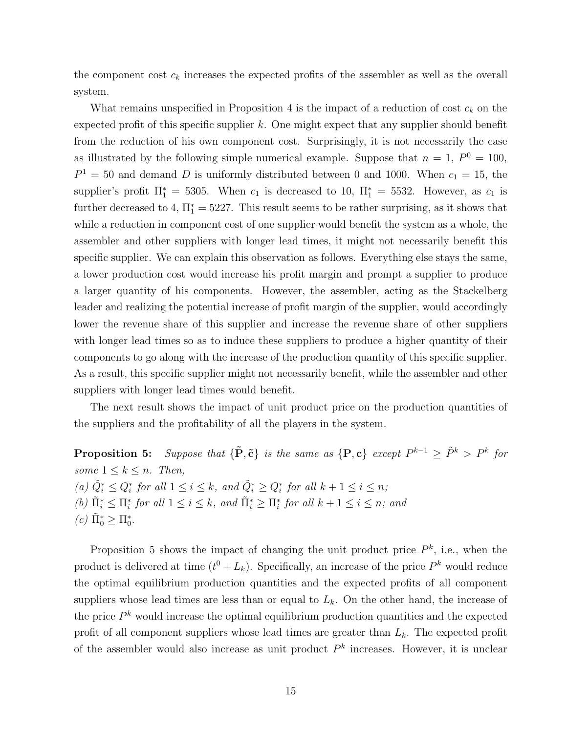the component cost  $c_k$  increases the expected profits of the assembler as well as the overall system.

What remains unspecified in Proposition  $4$  is the impact of a reduction of cost  $c_k$  on the expected profit of this specific supplier  $k$ . One might expect that any supplier should benefit from the reduction of his own component cost. Surprisingly, it is not necessarily the case as illustrated by the following simple numerical example. Suppose that  $n = 1$ ,  $P^0 = 100$ ,  $P<sup>1</sup> = 50$  and demand D is uniformly distributed between 0 and 1000. When  $c<sub>1</sub> = 15$ , the supplier's profit  $\Pi_1^* = 5305$ . When  $c_1$  is decreased to 10,  $\Pi_1^* = 5532$ . However, as  $c_1$  is further decreased to 4,  $\Pi_1^* = 5227$ . This result seems to be rather surprising, as it shows that while a reduction in component cost of one supplier would benefit the system as a whole, the assembler and other suppliers with longer lead times, it might not necessarily benefit this specific supplier. We can explain this observation as follows. Everything else stays the same, a lower production cost would increase his profit margin and prompt a supplier to produce a larger quantity of his components. However, the assembler, acting as the Stackelberg leader and realizing the potential increase of profit margin of the supplier, would accordingly lower the revenue share of this supplier and increase the revenue share of other suppliers with longer lead times so as to induce these suppliers to produce a higher quantity of their components to go along with the increase of the production quantity of this specific supplier. As a result, this specific supplier might not necessarily benefit, while the assembler and other suppliers with longer lead times would benefit.

The next result shows the impact of unit product price on the production quantities of the suppliers and the profitability of all the players in the system.

**Proposition 5:** *Suppose that*  ${\{\tilde{\mathbf{P}}, \tilde{\mathbf{c}}\}}$  *is the same as*  ${\{\mathbf{P}, \mathbf{c}\}}$  *except*  $P^{k-1} \geq \tilde{P}^k > P^k$  *for some*  $1 \leq k \leq n$ *. Then, (a)*  $\tilde{Q}_i^*$  ≤  $Q_i^*$  *for all*  $1 \leq i \leq k$ *, and*  $\tilde{Q}_i^*$  ≥  $Q_i^*$  *for all*  $k + 1 \leq i \leq n$ *; (b)*  $\tilde{\Pi}_i^* \leq \Pi_i^*$  *for all*  $1 \leq i \leq k$ *, and*  $\tilde{\Pi}_i^* \geq \Pi_i^*$  *for all*  $k + 1 \leq i \leq n$ *; and*  $(c) \tilde{\Pi}_{0}^{*} \geq \Pi_{0}^{*}.$ 

Proposition 5 shows the impact of changing the unit product price  $P^k$ , i.e., when the product is delivered at time  $(t^0 + L_k)$ . Specifically, an increase of the price  $P^k$  would reduce the optimal equilibrium production quantities and the expected profits of all component suppliers whose lead times are less than or equal to  $L_k$ . On the other hand, the increase of the price  $P^k$  would increase the optimal equilibrium production quantities and the expected profit of all component suppliers whose lead times are greater than L*k*. The expected profit of the assembler would also increase as unit product  $P<sup>k</sup>$  increases. However, it is unclear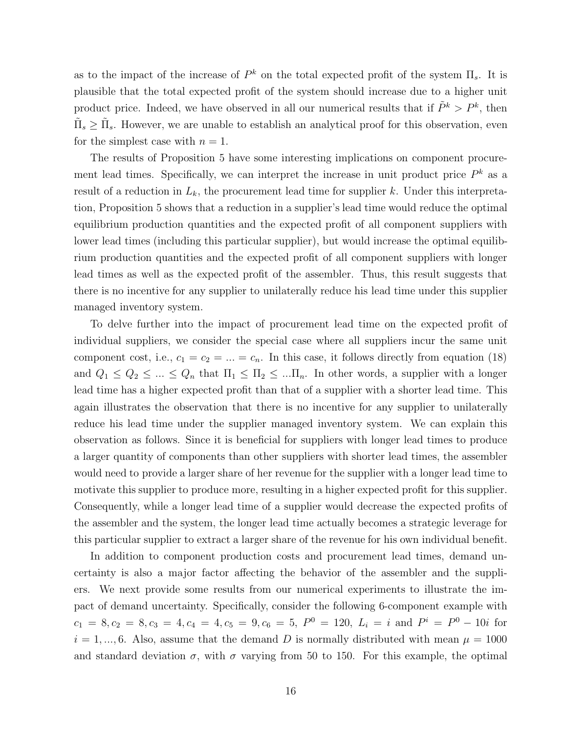as to the impact of the increase of  $P^k$  on the total expected profit of the system  $\Pi_s$ . It is plausible that the total expected profit of the system should increase due to a higher unit product price. Indeed, we have observed in all our numerical results that if  $\tilde{P}^k > P^k$ , then  $\tilde{\Pi}_s \geq \tilde{\Pi}_s$ . However, we are unable to establish an analytical proof for this observation, even for the simplest case with  $n = 1$ .

The results of Proposition 5 have some interesting implications on component procurement lead times. Specifically, we can interpret the increase in unit product price P*<sup>k</sup>* as a result of a reduction in  $L_k$ , the procurement lead time for supplier k. Under this interpretation, Proposition 5 shows that a reduction in a supplier's lead time would reduce the optimal equilibrium production quantities and the expected profit of all component suppliers with lower lead times (including this particular supplier), but would increase the optimal equilibrium production quantities and the expected profit of all component suppliers with longer lead times as well as the expected profit of the assembler. Thus, this result suggests that there is no incentive for any supplier to unilaterally reduce his lead time under this supplier managed inventory system.

To delve further into the impact of procurement lead time on the expected profit of individual suppliers, we consider the special case where all suppliers incur the same unit component cost, i.e.,  $c_1 = c_2 = ... = c_n$ . In this case, it follows directly from equation (18) and  $Q_1 \leq Q_2 \leq ... \leq Q_n$  that  $\Pi_1 \leq \Pi_2 \leq ... \Pi_n$ . In other words, a supplier with a longer lead time has a higher expected profit than that of a supplier with a shorter lead time. This again illustrates the observation that there is no incentive for any supplier to unilaterally reduce his lead time under the supplier managed inventory system. We can explain this observation as follows. Since it is beneficial for suppliers with longer lead times to produce a larger quantity of components than other suppliers with shorter lead times, the assembler would need to provide a larger share of her revenue for the supplier with a longer lead time to motivate this supplier to produce more, resulting in a higher expected profit for this supplier. Consequently, while a longer lead time of a supplier would decrease the expected profits of the assembler and the system, the longer lead time actually becomes a strategic leverage for this particular supplier to extract a larger share of the revenue for his own individual benefit.

In addition to component production costs and procurement lead times, demand uncertainty is also a major factor affecting the behavior of the assembler and the suppliers. We next provide some results from our numerical experiments to illustrate the impact of demand uncertainty. Specifically, consider the following 6-component example with  $c_1 = 8, c_2 = 8, c_3 = 4, c_4 = 4, c_5 = 9, c_6 = 5, P^0 = 120, L_i = i$  and  $P^i = P^0 - 10i$  for  $i = 1, ..., 6$ . Also, assume that the demand D is normally distributed with mean  $\mu = 1000$ and standard deviation  $\sigma$ , with  $\sigma$  varying from 50 to 150. For this example, the optimal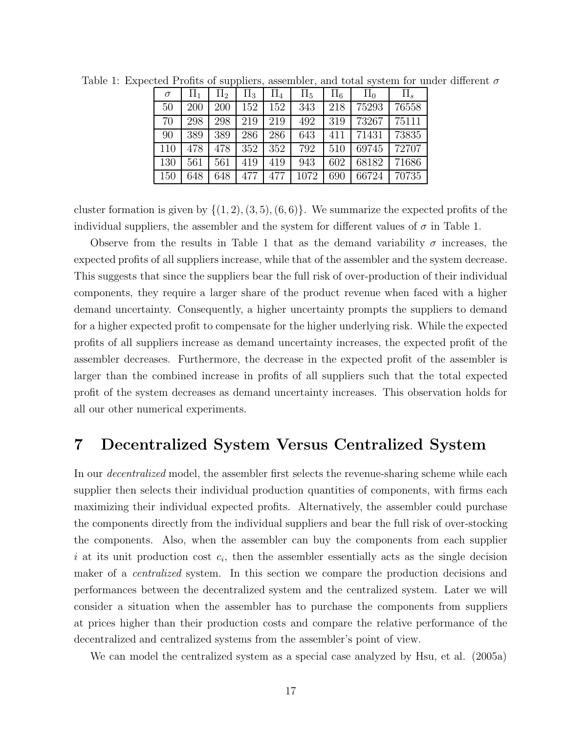| $\sigma$ |     | $\Pi_2$ | $\Pi_3$ | $\Pi_4$ | $\Pi_5$ | $\Pi_6$ | $\Pi_0$ |       |
|----------|-----|---------|---------|---------|---------|---------|---------|-------|
| 50       | 200 | 200     | 152     | 152     | 343     | 218     | 75293   | 76558 |
| 70       | 298 | 298     | 219     | 219     | 492     | 319     | 73267   | 75111 |
| 90       | 389 | 389     | 286     | 286     | 643     | 411     | 71431   | 73835 |
| 110      | 478 | 478     | 352     | 352     | 792     | 510     | 69745   | 72707 |
| 130      | 561 | 561     | 419     | 419     | 943     | 602     | 68182   | 71686 |
| 150      | 648 | 648     | 477     | 477     | 1072    | 690     | 66724   | 70735 |

Table 1: Expected Profits of suppliers, assembler, and total system for under different  $\sigma$ 

cluster formation is given by  $\{(1, 2), (3, 5), (6, 6)\}\.$  We summarize the expected profits of the individual suppliers, the assembler and the system for different values of  $\sigma$  in Table 1.

Observe from the results in Table 1 that as the demand variability  $\sigma$  increases, the expected profits of all suppliers increase, while that of the assembler and the system decrease. This suggests that since the suppliers bear the full risk of over-production of their individual components, they require a larger share of the product revenue when faced with a higher demand uncertainty. Consequently, a higher uncertainty prompts the suppliers to demand for a higher expected profit to compensate for the higher underlying risk. While the expected profits of all suppliers increase as demand uncertainty increases, the expected profit of the assembler decreases. Furthermore, the decrease in the expected profit of the assembler is larger than the combined increase in profits of all suppliers such that the total expected profit of the system decreases as demand uncertainty increases. This observation holds for all our other numerical experiments.

## **7 Decentralized System Versus Centralized System**

In our *decentralized* model, the assembler first selects the revenue-sharing scheme while each supplier then selects their individual production quantities of components, with firms each maximizing their individual expected profits. Alternatively, the assembler could purchase the components directly from the individual suppliers and bear the full risk of over-stocking the components. Also, when the assembler can buy the components from each supplier i at its unit production cost  $c_i$ , then the assembler essentially acts as the single decision maker of a *centralized* system. In this section we compare the production decisions and performances between the decentralized system and the centralized system. Later we will consider a situation when the assembler has to purchase the components from suppliers at prices higher than their production costs and compare the relative performance of the decentralized and centralized systems from the assembler's point of view.

We can model the centralized system as a special case analyzed by Hsu, et al. (2005a)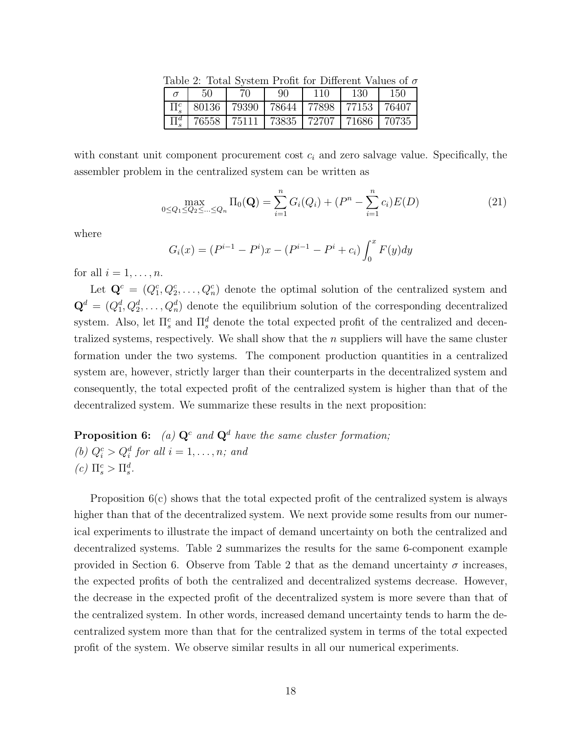| Lable 2. Total Dystem I Tont for Different values of $\theta$ |    |                                                                   |     |     |      |     |  |  |
|---------------------------------------------------------------|----|-------------------------------------------------------------------|-----|-----|------|-----|--|--|
|                                                               | 50 | 70.                                                               | 90. | 110 | -130 | 150 |  |  |
|                                                               |    | $\Pi_{s}^{c}$   80136   79390   78644   77898   77153   76407     |     |     |      |     |  |  |
|                                                               |    | $\Pi_{\circ}^{d}$   76558   75111   73835   72707   71686   70735 |     |     |      |     |  |  |

Table 2: Total System Profit for Different Values of σ

with constant unit component procurement cost  $c_i$  and zero salvage value. Specifically, the assembler problem in the centralized system can be written as

$$
\max_{0 \le Q_1 \le Q_2 \le \dots \le Q_n} \Pi_0(\mathbf{Q}) = \sum_{i=1}^n G_i(Q_i) + (P^n - \sum_{i=1}^n c_i)E(D)
$$
\n(21)

where

$$
G_i(x) = (P^{i-1} - P^i)x - (P^{i-1} - P^i + c_i) \int_0^x F(y) dy
$$

for all  $i = 1, \ldots, n$ .

Let  $\mathbf{Q}^c = (Q_1^c, Q_2^c, \ldots, Q_n^c)$  denote the optimal solution of the centralized system and  $\mathbf{Q}^d = (Q_1^d, Q_2^d, \dots, Q_n^d)$  denote the equilibrium solution of the corresponding decentralized system. Also, let  $\Pi_s^c$  and  $\Pi_s^d$  denote the total expected profit of the centralized and decentralized systems, respectively. We shall show that the n suppliers will have the same cluster formation under the two systems. The component production quantities in a centralized system are, however, strictly larger than their counterparts in the decentralized system and consequently, the total expected profit of the centralized system is higher than that of the decentralized system. We summarize these results in the next proposition:

**Proposition 6:** *(a)*  $\mathbf{Q}^c$  *and*  $\mathbf{Q}^d$  *have the same cluster formation;* (b)  $Q_i^c > Q_i^d$  for all  $i = 1, \ldots, n$ *;* and  $(c)$   $\Pi_s^c > \Pi_s^d$ .

Proposition 6(c) shows that the total expected profit of the centralized system is always higher than that of the decentralized system. We next provide some results from our numerical experiments to illustrate the impact of demand uncertainty on both the centralized and decentralized systems. Table 2 summarizes the results for the same 6-component example provided in Section 6. Observe from Table 2 that as the demand uncertainty  $\sigma$  increases, the expected profits of both the centralized and decentralized systems decrease. However, the decrease in the expected profit of the decentralized system is more severe than that of the centralized system. In other words, increased demand uncertainty tends to harm the decentralized system more than that for the centralized system in terms of the total expected profit of the system. We observe similar results in all our numerical experiments.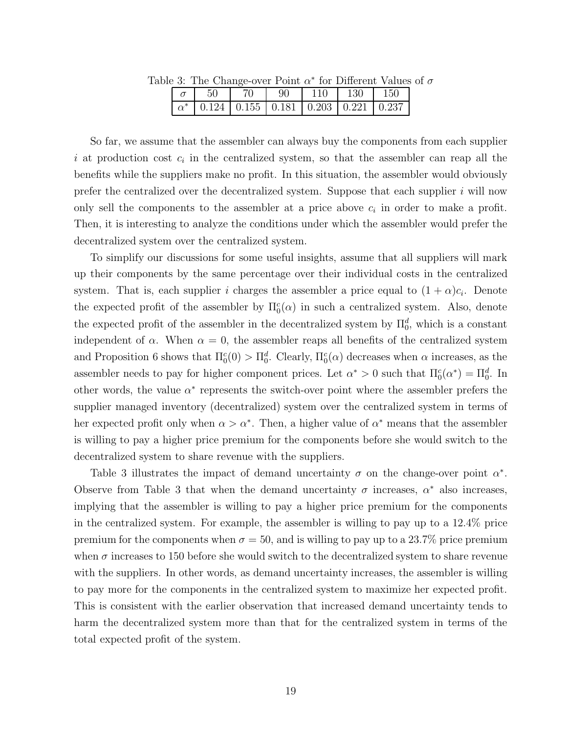| $e$ . The Change-over Form $\alpha$ for Different values |     |      |    |     |                                                            |             |  |
|----------------------------------------------------------|-----|------|----|-----|------------------------------------------------------------|-------------|--|
|                                                          | -50 | - 70 | 90 | 110 | $\perp$ 130                                                | $\perp$ 150 |  |
|                                                          |     |      |    |     | $\alpha^*$   0.124   0.155   0.181   0.203   0.221   0.237 |             |  |

Table 3: The Change-over Point  $\alpha^*$  for Different Values of  $\sigma$ 

So far, we assume that the assembler can always buy the components from each supplier i at production cost  $c_i$  in the centralized system, so that the assembler can reap all the benefits while the suppliers make no profit. In this situation, the assembler would obviously prefer the centralized over the decentralized system. Suppose that each supplier  $i$  will now only sell the components to the assembler at a price above c*<sup>i</sup>* in order to make a profit. Then, it is interesting to analyze the conditions under which the assembler would prefer the decentralized system over the centralized system.

To simplify our discussions for some useful insights, assume that all suppliers will mark up their components by the same percentage over their individual costs in the centralized system. That is, each supplier i charges the assembler a price equal to  $(1 + \alpha)c_i$ . Denote the expected profit of the assembler by  $\Pi_0^c(\alpha)$  in such a centralized system. Also, denote the expected profit of the assembler in the decentralized system by  $\Pi_0^d$ , which is a constant independent of  $\alpha$ . When  $\alpha = 0$ , the assembler reaps all benefits of the centralized system and Proposition 6 shows that  $\Pi_0^c(0) > \Pi_0^d$ . Clearly,  $\Pi_0^c(\alpha)$  decreases when  $\alpha$  increases, as the assembler needs to pay for higher component prices. Let  $\alpha^* > 0$  such that  $\Pi_0^c(\alpha^*) = \Pi_0^d$ . In other words, the value  $\alpha^*$  represents the switch-over point where the assembler prefers the supplier managed inventory (decentralized) system over the centralized system in terms of her expected profit only when  $\alpha > \alpha^*$ . Then, a higher value of  $\alpha^*$  means that the assembler is willing to pay a higher price premium for the components before she would switch to the decentralized system to share revenue with the suppliers.

Table 3 illustrates the impact of demand uncertainty  $\sigma$  on the change-over point  $\alpha^*$ . Observe from Table 3 that when the demand uncertainty  $\sigma$  increases,  $\alpha^*$  also increases, implying that the assembler is willing to pay a higher price premium for the components in the centralized system. For example, the assembler is willing to pay up to a 12.4% price premium for the components when  $\sigma = 50$ , and is willing to pay up to a 23.7% price premium when  $\sigma$  increases to 150 before she would switch to the decentralized system to share revenue with the suppliers. In other words, as demand uncertainty increases, the assembler is willing to pay more for the components in the centralized system to maximize her expected profit. This is consistent with the earlier observation that increased demand uncertainty tends to harm the decentralized system more than that for the centralized system in terms of the total expected profit of the system.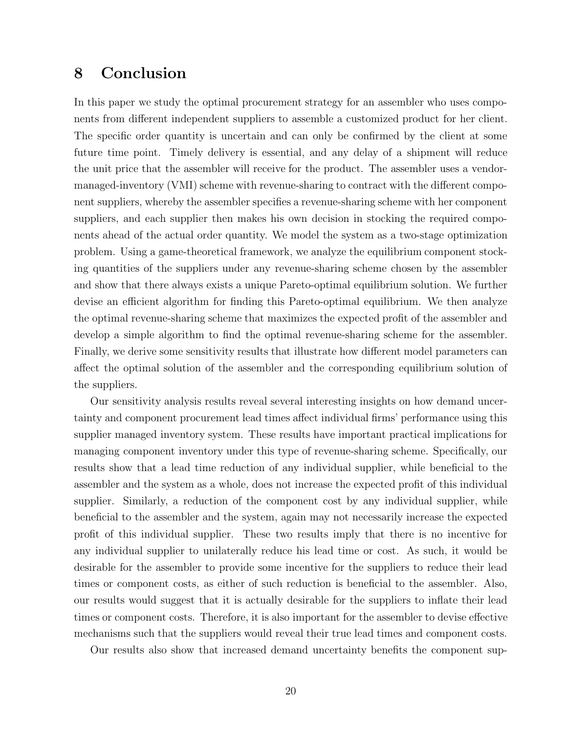## **8 Conclusion**

In this paper we study the optimal procurement strategy for an assembler who uses components from different independent suppliers to assemble a customized product for her client. The specific order quantity is uncertain and can only be confirmed by the client at some future time point. Timely delivery is essential, and any delay of a shipment will reduce the unit price that the assembler will receive for the product. The assembler uses a vendormanaged-inventory (VMI) scheme with revenue-sharing to contract with the different component suppliers, whereby the assembler specifies a revenue-sharing scheme with her component suppliers, and each supplier then makes his own decision in stocking the required components ahead of the actual order quantity. We model the system as a two-stage optimization problem. Using a game-theoretical framework, we analyze the equilibrium component stocking quantities of the suppliers under any revenue-sharing scheme chosen by the assembler and show that there always exists a unique Pareto-optimal equilibrium solution. We further devise an efficient algorithm for finding this Pareto-optimal equilibrium. We then analyze the optimal revenue-sharing scheme that maximizes the expected profit of the assembler and develop a simple algorithm to find the optimal revenue-sharing scheme for the assembler. Finally, we derive some sensitivity results that illustrate how different model parameters can affect the optimal solution of the assembler and the corresponding equilibrium solution of the suppliers.

Our sensitivity analysis results reveal several interesting insights on how demand uncertainty and component procurement lead times affect individual firms' performance using this supplier managed inventory system. These results have important practical implications for managing component inventory under this type of revenue-sharing scheme. Specifically, our results show that a lead time reduction of any individual supplier, while beneficial to the assembler and the system as a whole, does not increase the expected profit of this individual supplier. Similarly, a reduction of the component cost by any individual supplier, while beneficial to the assembler and the system, again may not necessarily increase the expected profit of this individual supplier. These two results imply that there is no incentive for any individual supplier to unilaterally reduce his lead time or cost. As such, it would be desirable for the assembler to provide some incentive for the suppliers to reduce their lead times or component costs, as either of such reduction is beneficial to the assembler. Also, our results would suggest that it is actually desirable for the suppliers to inflate their lead times or component costs. Therefore, it is also important for the assembler to devise effective mechanisms such that the suppliers would reveal their true lead times and component costs.

Our results also show that increased demand uncertainty benefits the component sup-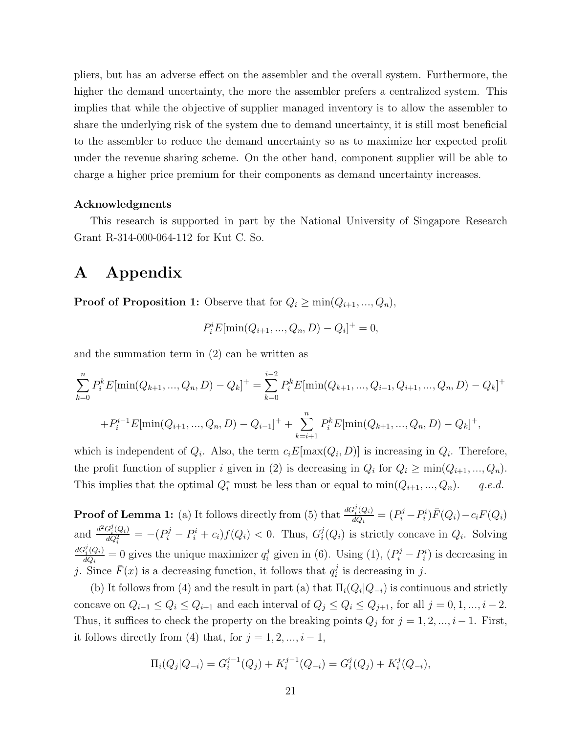pliers, but has an adverse effect on the assembler and the overall system. Furthermore, the higher the demand uncertainty, the more the assembler prefers a centralized system. This implies that while the objective of supplier managed inventory is to allow the assembler to share the underlying risk of the system due to demand uncertainty, it is still most beneficial to the assembler to reduce the demand uncertainty so as to maximize her expected profit under the revenue sharing scheme. On the other hand, component supplier will be able to charge a higher price premium for their components as demand uncertainty increases.

#### **Acknowledgments**

This research is supported in part by the National University of Singapore Research Grant R-314-000-064-112 for Kut C. So.

## **A Appendix**

**Proof of Proposition 1:** Observe that for  $Q_i \ge \min(Q_{i+1},...,Q_n)$ ,

$$
P_i^i E[\min(Q_{i+1}, ..., Q_n, D) - Q_i]^+ = 0,
$$

and the summation term in (2) can be written as

$$
\sum_{k=0}^{n} P_{i}^{k} E[\min(Q_{k+1}, ..., Q_{n}, D) - Q_{k}]^{+} = \sum_{k=0}^{i-2} P_{i}^{k} E[\min(Q_{k+1}, ..., Q_{i-1}, Q_{i+1}, ..., Q_{n}, D) - Q_{k}]^{+}
$$

$$
+ P_{i}^{i-1} E[\min(Q_{i+1}, ..., Q_{n}, D) - Q_{i-1}]^{+} + \sum_{k=i+1}^{n} P_{i}^{k} E[\min(Q_{k+1}, ..., Q_{n}, D) - Q_{k}]^{+},
$$

which is independent of  $Q_i$ . Also, the term  $c_iE[\max(Q_i, D)]$  is increasing in  $Q_i$ . Therefore, the profit function of supplier i given in (2) is decreasing in  $Q_i$  for  $Q_i \ge \min(Q_{i+1}, ..., Q_n)$ . This implies that the optimal  $Q_i^*$  must be less than or equal to  $\min(Q_{i+1}, ..., Q_n)$ . q.e.d.

**Proof of Lemma 1:** (a) It follows directly from (5) that  $\frac{dG_i^j(Q_i)}{dQ_i} = (P_i^j - P_i^i)\bar{F}(Q_i) - c_iF(Q_i)$ and  $\frac{d^2 G_i^j(Q_i)}{dQ_i^2} = -(P_i^j - P_i^i + c_i)f(Q_i) < 0$ . Thus,  $G_i^j(Q_i)$  is strictly concave in  $Q_i$ . Solving  $\frac{dG_i^j(Q_i)}{dQ_i} = 0$  gives the unique maximizer  $q_i^j$  given in (6). Using (1),  $(P_i^j - P_i^i)$  is decreasing in j. Since  $\bar{F}(x)$  is a decreasing function, it follows that  $q_i^j$  is decreasing in j.

(b) It follows from (4) and the result in part (a) that  $\Pi_i(Q_i|Q_{-i})$  is continuous and strictly concave on  $Q_{i-1} \leq Q_i \leq Q_{i+1}$  and each interval of  $Q_j \leq Q_i \leq Q_{j+1}$ , for all  $j = 0, 1, ..., i-2$ . Thus, it suffices to check the property on the breaking points  $Q_j$  for  $j = 1, 2, ..., i-1$ . First, it follows directly from (4) that, for  $j = 1, 2, ..., i - 1$ ,

$$
\Pi_i(Q_j|Q_{-i}) = G_i^{j-1}(Q_j) + K_i^{j-1}(Q_{-i}) = G_i^j(Q_j) + K_i^j(Q_{-i}),
$$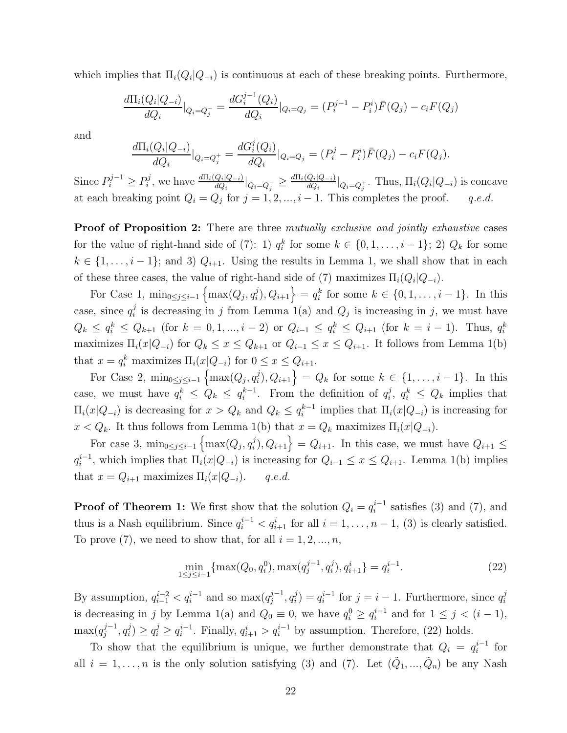which implies that  $\Pi_i(Q_i|Q_{-i})$  is continuous at each of these breaking points. Furthermore,

$$
\frac{d\Pi_i(Q_i|Q_{-i})}{dQ_i}|_{Q_i=Q_j^-} = \frac{dG_i^{j-1}(Q_i)}{dQ_i}|_{Q_i=Q_j} = (P_i^{j-1} - P_i^i)\bar{F}(Q_j) - c_iF(Q_j)
$$

and

$$
\frac{d\Pi_i(Q_i|Q_{-i})}{dQ_i}|_{Q_i=Q_j^+} = \frac{dG_i^j(Q_i)}{dQ_i}|_{Q_i=Q_j} = (P_i^j - P_i^i)\bar{F}(Q_j) - c_iF(Q_j).
$$

Since  $P_i^{j-1} \ge P_i^j$ , we have  $\frac{d\Pi_i(Q_i|Q_{-i})}{dQ_i}|_{Q_i=Q_j^-} \ge \frac{d\Pi_i(Q_i|Q_{-i})}{dQ_i}|_{Q_i=Q_j^+}$ . Thus,  $\Pi_i(Q_i|Q_{-i})$  is concave at each breaking point  $Q_i = Q_j$  for  $j = 1, 2, ..., i - 1$ . This completes the proof. q.e.d.

**Proof of Proposition 2:** There are three *mutually exclusive and jointly exhaustive* cases for the value of right-hand side of (7): 1)  $q_i^k$  for some  $k \in \{0, 1, \ldots, i-1\}$ ; 2)  $Q_k$  for some  $k \in \{1,\ldots,i-1\}$ ; and 3)  $Q_{i+1}$ . Using the results in Lemma 1, we shall show that in each of these three cases, the value of right-hand side of (7) maximizes  $\Pi_i(Q_i|Q_{-i})$ .

For Case 1,  $\min_{0 \leq j \leq i-1} \left\{ \max(Q_j, q_i^j), Q_{i+1} \right\} = q_i^k$  for some  $k \in \{0, 1, ..., i-1\}$ . In this case, since  $q_i^j$  is decreasing in j from Lemma 1(a) and  $Q_j$  is increasing in j, we must have  $Q_k \le q_i^k \le Q_{k+1}$  (for  $k = 0, 1, ..., i-2$ ) or  $Q_{i-1} \le q_i^k \le Q_{i+1}$  (for  $k = i-1$ ). Thus,  $q_i^k$ maximizes  $\Pi_i(x|Q_{-i})$  for  $Q_k \le x \le Q_{k+1}$  or  $Q_{i-1} \le x \le Q_{i+1}$ . It follows from Lemma 1(b) that  $x = q_i^k$  maximizes  $\Pi_i(x|Q_{-i})$  for  $0 \le x \le Q_{i+1}$ .

For Case 2,  $\min_{0 \le j \le i-1} \left\{ \max(Q_j, q_i^j), Q_{i+1} \right\} = Q_k$  for some  $k \in \{1, ..., i-1\}$ . In this case, we must have  $q_i^k \leq Q_k \leq q_i^{k-1}$ . From the definition of  $q_i^j$ ,  $q_i^k \leq Q_k$  implies that  $\Pi_i(x|Q_{-i})$  is decreasing for  $x > Q_k$  and  $Q_k \leq q_i^{k-1}$  implies that  $\Pi_i(x|Q_{-i})$  is increasing for  $x < Q_k$ . It thus follows from Lemma 1(b) that  $x = Q_k$  maximizes  $\Pi_i(x|Q_{-i})$ .

For case 3,  $\min_{0 \leq j \leq i-1} \left\{ \max(Q_j, q_i^j), Q_{i+1} \right\} = Q_{i+1}$ . In this case, we must have  $Q_{i+1} \leq$  $q_i^{i-1}$ , which implies that  $\Pi_i(x|Q_{-i})$  is increasing for  $Q_{i-1} \leq x \leq Q_{i+1}$ . Lemma 1(b) implies that  $x = Q_{i+1}$  maximizes  $\Pi_i(x|Q_{-i})$ . q.e.d.

**Proof of Theorem 1:** We first show that the solution  $Q_i = q_i^{i-1}$  satisfies (3) and (7), and thus is a Nash equilibrium. Since  $q_i^{i-1} < q_{i+1}^i$  for all  $i = 1, \ldots, n-1$ , (3) is clearly satisfied. To prove (7), we need to show that, for all  $i = 1, 2, ..., n$ ,

$$
\min_{1 \le j \le i-1} \{ \max(Q_0, q_i^0), \max(q_j^{j-1}, q_i^j), q_{i+1}^i \} = q_i^{i-1}.
$$
\n(22)

By assumption,  $q_{i-1}^{i-2} < q_i^{i-1}$  and so  $\max(q_j^{j-1}, q_i^j) = q_i^{i-1}$  for  $j = i - 1$ . Furthermore, since  $q_i^j$ is decreasing in j by Lemma 1(a) and  $Q_0 \equiv 0$ , we have  $q_i^0 \ge q_i^{i-1}$  and for  $1 \le j < (i-1)$ ,  $\max(q_j^{j-1}, q_i^j) \ge q_i^j \ge q_i^{i-1}$ . Finally,  $q_{i+1}^i > q_i^{i-1}$  by assumption. Therefore, (22) holds.

To show that the equilibrium is unique, we further demonstrate that  $Q_i = q_i^{i-1}$  for all  $i = 1, \ldots, n$  is the only solution satisfying (3) and (7). Let  $(\tilde{Q}_1, \ldots, \tilde{Q}_n)$  be any Nash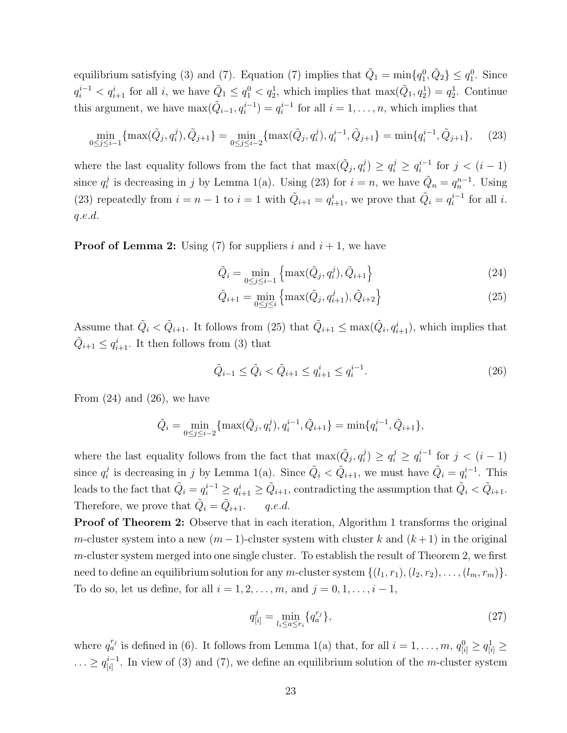equilibrium satisfying (3) and (7). Equation (7) implies that  $\tilde{Q}_1 = \min\{q_1^0, \tilde{Q}_2\} \le q_1^0$ . Since  $q_i^{i-1} < q_{i+1}^i$  for all i, we have  $\tilde{Q}_1 \le q_1^0 < q_2^1$ , which implies that  $\max(\tilde{Q}_1, q_2^1) = q_2^1$ . Continue this argument, we have  $\max(\tilde{Q}_{i-1}, q_i^{i-1}) = q_i^{i-1}$  for all  $i = 1, \ldots, n$ , which implies that

$$
\min_{0 \le j \le i-1} \{ \max(\tilde{Q}_j, q_i^j), \tilde{Q}_{j+1} \} = \min_{0 \le j \le i-2} \{ \max(\tilde{Q}_j, q_i^j), q_i^{i-1}, \tilde{Q}_{j+1} \} = \min\{ q_i^{i-1}, \tilde{Q}_{j+1} \}, \quad (23)
$$

where the last equality follows from the fact that  $\max(\tilde{Q}_j, q_i^j) \ge q_i^j \ge q_i^{i-1}$  for  $j < (i-1)$ since  $q_i^j$  is decreasing in j by Lemma 1(a). Using (23) for  $i = n$ , we have  $\tilde{Q}_n = q_n^{n-1}$ . Using (23) repeatedly from  $i = n - 1$  to  $i = 1$  with  $\tilde{Q}_{i+1} = q_{i+1}^i$ , we prove that  $\tilde{Q}_i = q_i^{i-1}$  for all i. q.e.d.

**Proof of Lemma 2:** Using (7) for suppliers i and  $i + 1$ , we have

$$
\tilde{Q}_i = \min_{0 \le j \le i-1} \left\{ \max(\tilde{Q}_j, q_i^j), \tilde{Q}_{i+1} \right\}
$$
\n(24)

$$
\tilde{Q}_{i+1} = \min_{0 \le j \le i} \left\{ \max(\tilde{Q}_j, q_{i+1}^j), \tilde{Q}_{i+2} \right\} \tag{25}
$$

Assume that  $\tilde{Q}_i < \tilde{Q}_{i+1}$ . It follows from (25) that  $\tilde{Q}_{i+1} \le \max(\tilde{Q}_i, q_{i+1}^i)$ , which implies that  $\tilde{Q}_{i+1} \leq q_{i+1}^i$ . It then follows from (3) that

$$
\tilde{Q}_{i-1} \le \tilde{Q}_i < \tilde{Q}_{i+1} \le q_{i+1}^i \le q_i^{i-1}.\tag{26}
$$

From  $(24)$  and  $(26)$ , we have

$$
\tilde{Q}_i = \min_{0 \le j \le i-2} \{ \max(\tilde{Q}_j, q_i^j), q_i^{i-1}, \tilde{Q}_{i+1} \} = \min\{q_i^{i-1}, \tilde{Q}_{i+1}\},\
$$

where the last equality follows from the fact that  $\max(\tilde{Q}_j, q_i^j) \ge q_i^j \ge q_i^{i-1}$  for  $j < (i-1)$ since  $q_i^j$  is decreasing in j by Lemma 1(a). Since  $\tilde{Q}_i < \tilde{Q}_{i+1}$ , we must have  $\tilde{Q}_i = q_i^{i-1}$ . This leads to the fact that  $\tilde{Q}_i = q_i^{i-1} \geq q_{i+1}^i \geq \tilde{Q}_{i+1}$ , contradicting the assumption that  $\tilde{Q}_i < \tilde{Q}_{i+1}$ . Therefore, we prove that  $\tilde{Q}_i = \tilde{Q}_{i+1}$ . q.e.d.

**Proof of Theorem 2:** Observe that in each iteration, Algorithm 1 transforms the original m-cluster system into a new  $(m-1)$ -cluster system with cluster k and  $(k+1)$  in the original  $m$ -cluster system merged into one single cluster. To establish the result of Theorem 2, we first need to define an equilibrium solution for any *m*-cluster system  $\{(l_1, r_1), (l_2, r_2), \ldots, (l_m, r_m)\}.$ To do so, let us define, for all  $i = 1, 2, \ldots, m$ , and  $j = 0, 1, \ldots, i - 1$ ,

$$
q_{[i]}^j = \min_{l_i \le a \le r_i} \{ q_a^{r_j} \},\tag{27}
$$

where  $q_a^{r_j}$  is defined in (6). It follows from Lemma 1(a) that, for all  $i = 1, \ldots, m$ ,  $q_{[i]}^0 \ge q_{[i]}^1 \ge$  $\ldots \geq q_{[i]}^{i-1}$ . In view of (3) and (7), we define an equilibrium solution of the *m*-cluster system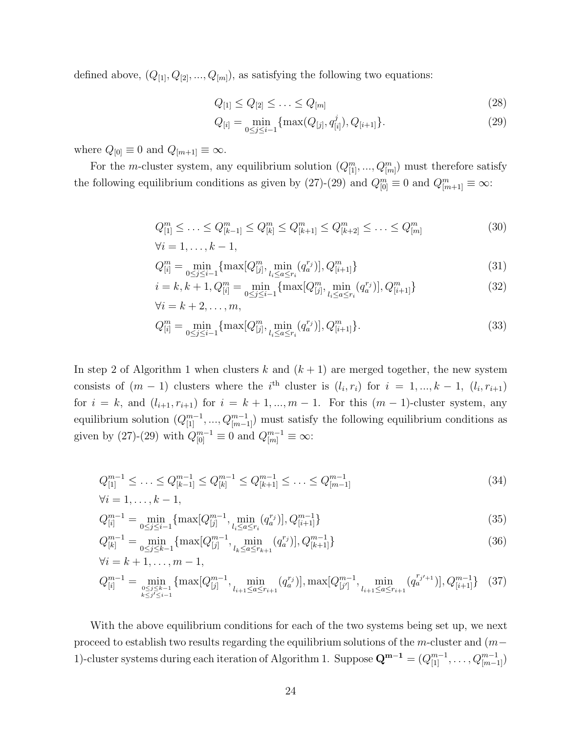defined above,  $(Q_{[1]}, Q_{[2]}, ..., Q_{[m]})$ , as satisfying the following two equations:

$$
Q_{[1]} \le Q_{[2]} \le \ldots \le Q_{[m]}
$$
\n(28)

$$
Q_{[i]} = \min_{0 \le j \le i-1} \{ \max(Q_{[j]}, q_{[i]}^j), Q_{[i+1]}\}.
$$
 (29)

where  $Q_{[0]}\equiv 0$  and  $Q_{[m+1]}\equiv \infty$ .

For the *m*-cluster system, any equilibrium solution  $(Q_{[1]}^m, ..., Q_{[m]}^m)$  must therefore satisfy the following equilibrium conditions as given by (27)-(29) and  $Q_{[0]}^m \equiv 0$  and  $Q_{[m+1]}^m \equiv \infty$ :

$$
Q_{[1]}^m \leq \ldots \leq Q_{[k-1]}^m \leq Q_{[k]}^m \leq Q_{[k+1]}^m \leq Q_{[k+2]}^m \leq \ldots \leq Q_{[m]}^m
$$
\n
$$
\forall i = 1, \ldots, k-1,
$$
\n(30)

$$
Q_{[i]}^{m} = \min_{0 \le j \le i-1} \{ \max[Q_{[j]}^{m}, \min_{l_i \le a \le r_i} (q_a^{r_j})], Q_{[i+1]}^{m} \}
$$
\n(31)

$$
i = k, k + 1, Q_{[i]}^{m} = \min_{0 \le j \le i-1} \{ \max[Q_{[j]}^{m}, \min_{l_i \le a \le r_i} (q_a^{r_j})], Q_{[i+1]}^{m} \}
$$
  

$$
\forall i = k + 2, \dots, m,
$$
 (32)

$$
Q_{[i]}^{m} = \min_{0 \le j \le i-1} \{ \max[Q_{[j]}^{m}, \min_{l_i \le a \le r_i} (q_a^{r_j})], Q_{[i+1]}^{m} \}.
$$
\n(33)

In step 2 of Algorithm 1 when clusters k and  $(k + 1)$  are merged together, the new system consists of  $(m-1)$  clusters where the i<sup>th</sup> cluster is  $(l_i, r_i)$  for  $i = 1, ..., k-1$ ,  $(l_i, r_{i+1})$ for  $i = k$ , and  $(l_{i+1}, r_{i+1})$  for  $i = k + 1, ..., m - 1$ . For this  $(m - 1)$ -cluster system, any equilibrium solution  $(Q_{[1]}^{m-1},...,Q_{[m-1]}^{m-1})$  must satisfy the following equilibrium conditions as given by (27)-(29) with  $Q_{[0]}^{m-1} \equiv 0$  and  $Q_{[m]}^{m-1} \equiv \infty$ :

$$
Q_{[1]}^{m-1} \leq \ldots \leq Q_{[k-1]}^{m-1} \leq Q_{[k]}^{m-1} \leq Q_{[k+1]}^{m-1} \leq \ldots \leq Q_{[m-1]}^{m-1}
$$
  
\n
$$
\forall i = 1, \ldots, k-1,
$$
\n(34)

$$
Q_{[i]}^{m-1} = \min_{0 \le j \le i-1} \{ \max[Q_{[j]}^{m-1}, \min_{l_i \le a \le r_i} (q_a^{r_j})], Q_{[i+1]}^{m-1} \}
$$
(35)

$$
Q_{[k]}^{m-1} = \min_{0 \le j \le k-1} \{ \max[Q_{[j]}^{m-1}, \min_{l_k \le a \le r_{k+1}} (q_a^{r_j})], Q_{[k+1]}^{m-1} \}
$$
  
\n
$$
\forall i = k+1, \dots, m-1,
$$
\n(36)

$$
Q_{[i]}^{m-1} = \min_{\substack{0 \le j \le k-1 \\ k \le j' \le i-1}} \{ \max[Q_{[j]}^{m-1}, \min_{l_{i+1} \le a \le r_{i+1}} (q_a^{r_j})], \max[Q_{[j']}^{m-1}, \min_{l_{i+1} \le a \le r_{i+1}} (q_a^{r_{j'+1}})], Q_{[i+1]}^{m-1} \} (37)
$$

With the above equilibrium conditions for each of the two systems being set up, we next proceed to establish two results regarding the equilibrium solutions of the m-cluster and (m− 1)-cluster systems during each iteration of Algorithm 1. Suppose  $\mathbf{Q}^{m-1} = (Q_{[1]}^{m-1}, \ldots, Q_{[m-1]}^{m-1})$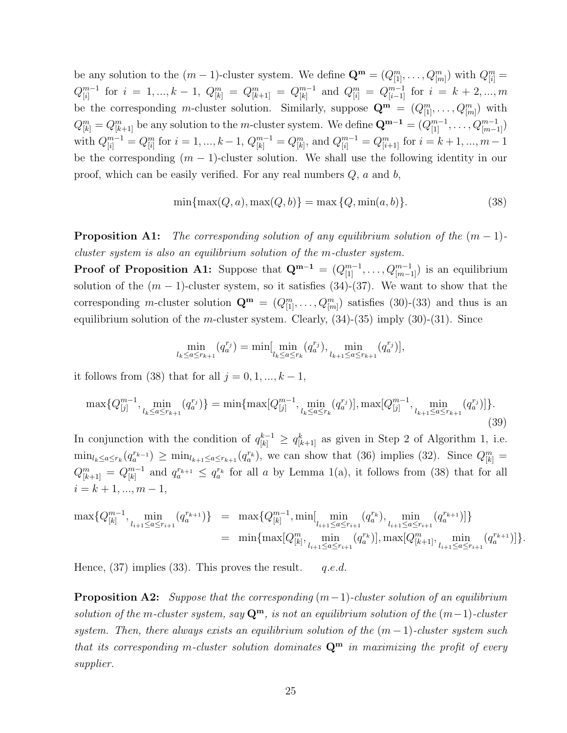be any solution to the  $(m-1)$ -cluster system. We define  $\mathbf{Q}^{\mathbf{m}} = (Q_{[1]}^m, \ldots, Q_{[m]}^m)$  with  $Q_{[i]}^m =$  $Q_{[i]}^{m-1}$  for  $i = 1, ..., k - 1$ ,  $Q_{[k]}^m = Q_{[k+1]}^m = Q_{[k]}^{m-1}$  and  $Q_{[i]}^m = Q_{[i-1]}^{m-1}$  for  $i = k + 2, ..., m$ be the corresponding m-cluster solution. Similarly, suppose  $\mathbf{Q}^{\mathbf{m}} = (Q_{[1]}^m, \ldots, Q_{[m]}^m)$  with  $Q_{[k]}^m = Q_{[k+1]}^m$  be any solution to the *m*-cluster system. We define  $\mathbf{Q}^{m-1} = (Q_{[1]}^{m-1}, \ldots, Q_{[m-1]}^{m-1})$ with  $Q_{[i]}^{m-1} = Q_{[i]}^m$  for  $i = 1, ..., k-1$ ,  $Q_{[k]}^{m-1} = Q_{[k]}^m$ , and  $Q_{[i]}^{m-1} = Q_{[i+1]}^m$  for  $i = k+1, ..., m-1$ be the corresponding  $(m - 1)$ -cluster solution. We shall use the following identity in our proof, which can be easily verified. For any real numbers  $Q$ ,  $a$  and  $b$ ,

$$
\min\{\max(Q, a), \max(Q, b)\} = \max\{Q, \min(a, b)\}.
$$
 (38)

**Proposition A1:** *The corresponding solution of any equilibrium solution of the*  $(m - 1)$ *cluster system is also an equilibrium solution of the* m*-cluster system.*

**Proof of Proposition A1:** Suppose that  $\mathbf{Q}^{m-1} = (Q_{[1]}^{m-1}, \ldots, Q_{[m-1]}^{m-1})$  is an equilibrium solution of the  $(m-1)$ -cluster system, so it satisfies  $(34)-(37)$ . We want to show that the corresponding m-cluster solution  $\mathbf{Q}^{\mathbf{m}} = (Q_{[1]}^m, \ldots, Q_{[m]}^m)$  satisfies (30)-(33) and thus is an equilibrium solution of the m-cluster system. Clearly,  $(34)-(35)$  imply  $(30)-(31)$ . Since

$$
\min_{l_k \le a \le r_{k+1}} (q_a^{r_j}) = \min[\min_{l_k \le a \le r_k} (q_a^{r_j}), \min_{l_{k+1} \le a \le r_{k+1}} (q_a^{r_j})],
$$

it follows from (38) that for all  $j = 0, 1, ..., k - 1$ ,

$$
\max\{Q_{[j]}^{m-1}, \min_{l_k \le a \le r_{k+1}} (q_a^{r_j})\} = \min\{\max[Q_{[j]}^{m-1}, \min_{l_k \le a \le r_k} (q_a^{r_j})], \max[Q_{[j]}^{m-1}, \min_{l_{k+1} \le a \le r_{k+1}} (q_a^{r_j})]\}.
$$
\n(39)

In conjunction with the condition of  $q_{[k]}^{k-1} \geq q_{[k+1]}^k$  as given in Step 2 of Algorithm 1, i.e.  $\min_{l_k \leq a \leq r_k} (q_a^{r_{k-1}}) \geq \min_{l_{k+1} \leq a \leq r_{k+1}} (q_a^{r_k}),$  we can show that (36) implies (32). Since  $Q_{[k]}^m =$  $Q_{[k+1]}^m = Q_{[k]}^{m-1}$  and  $q_a^{r_{k+1}} \leq q_a^{r_k}$  for all a by Lemma 1(a), it follows from (38) that for all  $i = k + 1, ..., m - 1,$ 

$$
\max\{Q_{[k]}^{m-1}, \min_{l_{i+1}\leq a\leq r_{i+1}}(q_a^{r_{k+1}})\} = \max\{Q_{[k]}^{m-1}, \min\left[\min_{l_{i+1}\leq a\leq r_{i+1}}(q_a^{r_k}), \min_{l_{i+1}\leq a\leq r_{i+1}}(q_a^{r_{k+1}})]\right\}
$$
  

$$
= \min\{\max[Q_{[k]}^m, \min_{l_{i+1}\leq a\leq r_{i+1}}(q_a^{r_k})], \max[Q_{[k+1]}^m, \min_{l_{i+1}\leq a\leq r_{i+1}}(q_a^{r_{k+1}})]\}.
$$

Hence,  $(37)$  implies  $(33)$ . This proves the result. q.e.d.

**Proposition A2:** *Suppose that the corresponding* (m−1)*-cluster solution of an equilibrium solution of the* m*-cluster system, say* **Q<sup>m</sup>***, is not an equilibrium solution of the* (m−1)*-cluster system. Then, there always exists an equilibrium solution of the*  $(m-1)$ *-cluster system such that its corresponding* m*-cluster solution dominates* **Q<sup>m</sup>** *in maximizing the profit of every supplier.*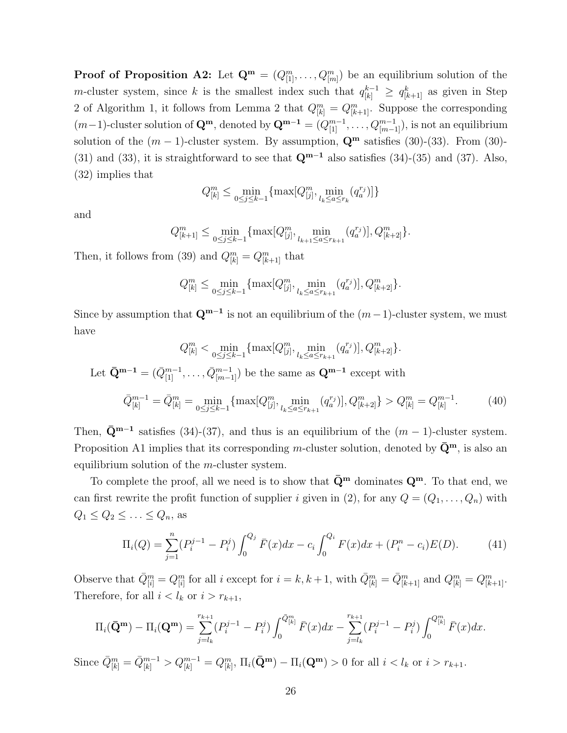**Proof of Proposition A2:** Let  $\mathbf{Q}^{\mathbf{m}} = (Q_{[1]}^m, \ldots, Q_{[m]}^m)$  be an equilibrium solution of the m-cluster system, since k is the smallest index such that  $q_{[k]}^{k-1} \geq q_{[k+1]}^{k}$  as given in Step 2 of Algorithm 1, it follows from Lemma 2 that  $Q_{[k]}^m = Q_{[k+1]}^m$ . Suppose the corresponding  $(m-1)$ -cluster solution of  $\mathbf{Q}^{\mathbf{m}}$ , denoted by  $\mathbf{Q}^{\mathbf{m}-1} = (Q_{[1]}^{m-1}, \ldots, Q_{[m-1]}^{m-1})$ , is not an equilibrium solution of the  $(m-1)$ -cluster system. By assumption,  $\mathbf{Q}^{\mathbf{m}}$  satisfies (30)-(33). From (30)-(31) and (33), it is straightforward to see that **Q<sup>m</sup>**−**<sup>1</sup>** also satisfies (34)-(35) and (37). Also, (32) implies that

$$
Q_{[k]}^m \leq \min_{0 \leq j \leq k-1} \{\max[Q_{[j]}^m,\min_{l_k \leq a \leq r_k} (q_a^{r_j})]\}
$$

and

$$
Q_{[k+1]}^m \le \min_{0 \le j \le k-1} \{ \max[Q_{[j]}^m, \min_{l_{k+1} \le a \le r_{k+1}}(q_a^{r_j})], Q_{[k+2]}^m \}.
$$

Then, it follows from (39) and  $Q_{[k]}^m = Q_{[k+1]}^m$  that

$$
Q_{[k]}^{m} \leq \min_{0 \leq j \leq k-1} \{ \max[Q_{[j]}^{m}, \min_{l_{k} \leq a \leq r_{k+1}}(q_{a}^{r_{j}})], Q_{[k+2]}^{m} \}.
$$

Since by assumption that  $\mathbf{Q}^{m-1}$  is not an equilibrium of the  $(m-1)$ -cluster system, we must have

$$
Q_{[k]}^{m} < \min_{0 \le j \le k-1} \{ \max[Q_{[j]}^{m}, \min_{l_k \le a \le r_{k+1}} (q_a^{r_j})], Q_{[k+2]}^{m} \}.
$$
\nLet  $\bar{Q}^{m-1} = (\bar{Q}_{[1]}^{m-1}, \dots, \bar{Q}_{[m-1]}^{m-1})$  be the same as  $Q^{m-1}$  except with\n
$$
\bar{Q}_{[k]}^{m-1} = \bar{Q}_{[k]}^{m} = \min_{0 \le j \le k-1} \{ \max[Q_{[j]}^{m}, \min_{l_k \le a \le r_{k+1}} (q_a^{r_j})], Q_{[k+2]}^{m} \} > Q_{[k]}^{m} = Q_{[k]}^{m-1}.
$$
\n(40)

Then,  $\bar{\mathbf{Q}}^{m-1}$  satisfies (34)-(37), and thus is an equilibrium of the  $(m-1)$ -cluster system. Proposition A1 implies that its corresponding m-cluster solution, denoted by  $\bar{Q}^m$ , is also an equilibrium solution of the  $m$ -cluster system.

To complete the proof, all we need is to show that  $\bar{Q}^m$  dominates  $Q^m$ . To that end, we can first rewrite the profit function of supplier i given in (2), for any  $Q = (Q_1, \ldots, Q_n)$  with  $Q_1 \leq Q_2 \leq \ldots \leq Q_n$ , as

$$
\Pi_i(Q) = \sum_{j=1}^n (P_i^{j-1} - P_i^j) \int_0^{Q_j} \bar{F}(x) dx - c_i \int_0^{Q_i} F(x) dx + (P_i^n - c_i) E(D). \tag{41}
$$

Observe that  $\overline{Q}_{[i]}^m = Q_{[i]}^m$  for all i except for  $i = k, k + 1$ , with  $\overline{Q}_{[k]}^m = \overline{Q}_{[k+1]}^m$  and  $Q_{[k]}^m = Q_{[k+1]}^m$ . Therefore, for all  $i < l_k$  or  $i > r_{k+1}$ ,

$$
\Pi_i(\bar{\mathbf{Q}}^{\mathbf{m}}) - \Pi_i(\mathbf{Q}^{\mathbf{m}}) = \sum_{j=l_k}^{r_{k+1}} (P_i^{j-1} - P_i^j) \int_0^{\bar{Q}_{[k]}^{\mathbf{m}}} \bar{F}(x) dx - \sum_{j=l_k}^{r_{k+1}} (P_i^{j-1} - P_i^j) \int_0^{Q_{[k]}^{\mathbf{m}}} \bar{F}(x) dx.
$$

Since  $\bar{Q}_{[k]}^m = \bar{Q}_{[k]}^{m-1} > Q_{[k]}^{m-1} = Q_{[k]}^m$ ,  $\Pi_i(\bar{\mathbf{Q}}^{\mathbf{m}}) - \Pi_i(\mathbf{Q}^{\mathbf{m}}) > 0$  for all  $i < l_k$  or  $i > r_{k+1}$ .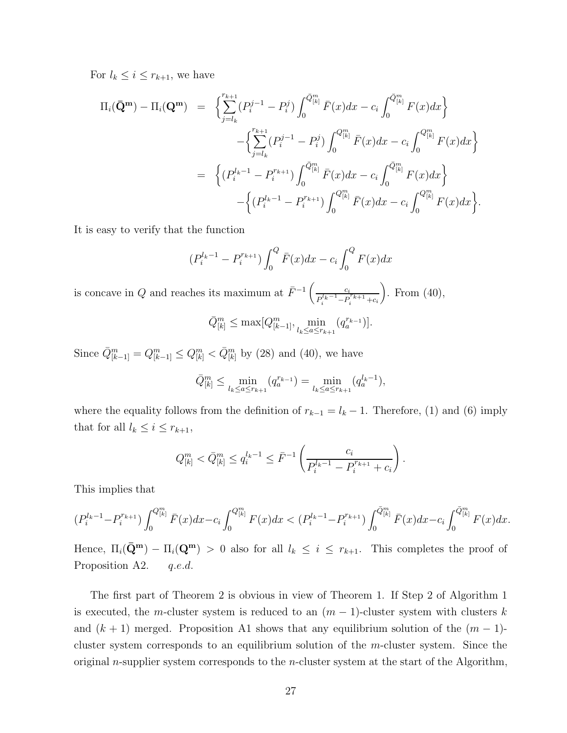For  $l_k \leq i \leq r_{k+1}$ , we have

$$
\Pi_{i}(\bar{Q}^{m}) - \Pi_{i}(Q^{m}) = \left\{ \sum_{j=l_{k}}^{r_{k+1}} (P_{i}^{j-1} - P_{i}^{j}) \int_{0}^{\bar{Q}_{[k]}^{m}} \bar{F}(x) dx - c_{i} \int_{0}^{\bar{Q}_{[k]}^{m}} F(x) dx \right\} \n- \left\{ \sum_{j=l_{k}}^{r_{k+1}} (P_{i}^{j-1} - P_{i}^{j}) \int_{0}^{Q_{[k]}^{m}} \bar{F}(x) dx - c_{i} \int_{0}^{Q_{[k]}^{m}} F(x) dx \right\} \n= \left\{ (P_{i}^{l_{k}-1} - P_{i}^{r_{k+1}}) \int_{0}^{\bar{Q}_{[k]}^{m}} \bar{F}(x) dx - c_{i} \int_{0}^{\bar{Q}_{[k]}^{m}} F(x) dx \right\} \n- \left\{ (P_{i}^{l_{k}-1} - P_{i}^{r_{k+1}}) \int_{0}^{Q_{[k]}^{m}} \bar{F}(x) dx - c_{i} \int_{0}^{Q_{[k]}^{m}} F(x) dx \right\}.
$$

It is easy to verify that the function

$$
(P_i^{l_k-1} - P_i^{r_{k+1}}) \int_0^Q \bar{F}(x) dx - c_i \int_0^Q F(x) dx
$$

is concave in Q and reaches its maximum at  $\bar{F}^{-1}\left(\frac{c_i}{R^{l_i-1}-R}\right)$  $P_i^{l_k-1} - P_i^{r_{k+1}} + c_i$ ). From  $(40)$ ,

$$
\bar{Q}_{[k]}^m \le \max[Q_{[k-1]}^m, \min_{l_k \le a \le r_{k+1}}(q_a^{r_{k-1}})].
$$

Since  $\bar{Q}^m_{[k-1]} = Q^m_{[k-1]} \leq Q^m_{[k]} < \bar{Q}^m_{[k]}$  by (28) and (40), we have

$$
\bar{Q}_{[k]}^m \le \min_{l_k \le a \le r_{k+1}} (q_a^{r_{k-1}}) = \min_{l_k \le a \le r_{k+1}} (q_a^{l_k-1}),
$$

where the equality follows from the definition of  $r_{k-1} = l_k - 1$ . Therefore, (1) and (6) imply that for all  $l_k \leq i \leq r_{k+1}$ ,

$$
Q_{[k]}^m < \bar{Q}_{[k]}^m \le q_i^{l_k - 1} \le \bar{F}^{-1} \left( \frac{c_i}{P_i^{l_k - 1} - P_i^{r_{k+1}} + c_i} \right).
$$

This implies that

$$
(P_i^{l_k-1}-P_i^{r_{k+1}})\int_0^{Q_{[k]}^m} \bar{F}(x)dx-c_i\int_0^{Q_{[k]}^m} F(x)dx < (P_i^{l_k-1}-P_i^{r_{k+1}})\int_0^{\bar{Q}_{[k]}^m} \bar{F}(x)dx-c_i\int_0^{\bar{Q}_{[k]}^m} F(x)dx.
$$

Hence,  $\Pi_i(\bar{Q}^m) - \Pi_i(Q^m) > 0$  also for all  $l_k \leq i \leq r_{k+1}$ . This completes the proof of Proposition A2. q.e.d.

The first part of Theorem 2 is obvious in view of Theorem 1. If Step 2 of Algorithm 1 is executed, the m-cluster system is reduced to an  $(m-1)$ -cluster system with clusters k and  $(k + 1)$  merged. Proposition A1 shows that any equilibrium solution of the  $(m - 1)$ cluster system corresponds to an equilibrium solution of the  $m$ -cluster system. Since the original n-supplier system corresponds to the n-cluster system at the start of the Algorithm,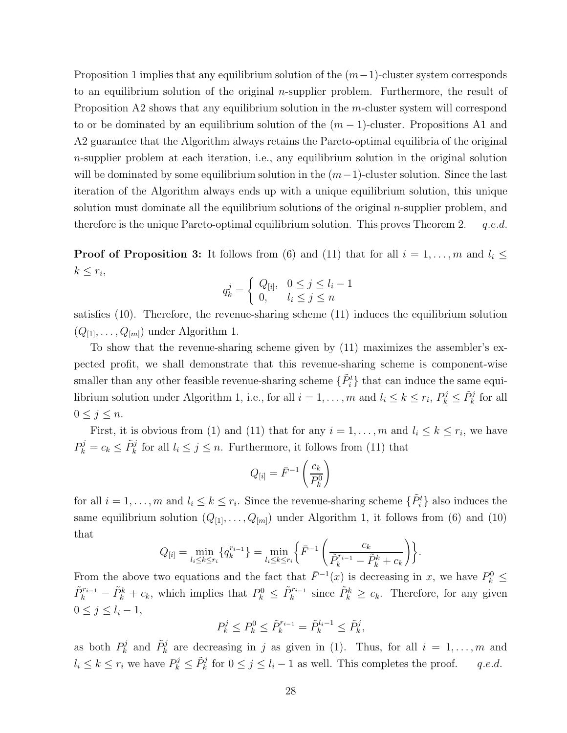Proposition 1 implies that any equilibrium solution of the  $(m-1)$ -cluster system corresponds to an equilibrium solution of the original  $n$ -supplier problem. Furthermore, the result of Proposition A2 shows that any equilibrium solution in the m-cluster system will correspond to or be dominated by an equilibrium solution of the  $(m-1)$ -cluster. Propositions A1 and A2 guarantee that the Algorithm always retains the Pareto-optimal equilibria of the original n-supplier problem at each iteration, i.e., any equilibrium solution in the original solution will be dominated by some equilibrium solution in the  $(m-1)$ -cluster solution. Since the last iteration of the Algorithm always ends up with a unique equilibrium solution, this unique solution must dominate all the equilibrium solutions of the original  $n$ -supplier problem, and therefore is the unique Pareto-optimal equilibrium solution. This proves Theorem 2.  $q.e.d.$ 

**Proof of Proposition 3:** It follows from (6) and (11) that for all  $i = 1, \ldots, m$  and  $l_i \leq$  $k \leq r_i$ 

$$
q_k^j = \begin{cases} Q_{[i]}, & 0 \le j \le l_i - 1 \\ 0, & l_i \le j \le n \end{cases}
$$

satisfies (10). Therefore, the revenue-sharing scheme (11) induces the equilibrium solution  $(Q_{[1]},\ldots,Q_{[m]})$  under Algorithm 1.

To show that the revenue-sharing scheme given by (11) maximizes the assembler's expected profit, we shall demonstrate that this revenue-sharing scheme is component-wise smaller than any other feasible revenue-sharing scheme  $\{\tilde{P}_i^t\}$  that can induce the same equilibrium solution under Algorithm 1, i.e., for all  $i = 1, \ldots, m$  and  $l_i \leq k \leq r_i$ ,  $P_k^j \leq \tilde{P}_k^j$  for all  $0 \leq j \leq n$ .

First, it is obvious from (1) and (11) that for any  $i = 1, \ldots, m$  and  $l_i \leq k \leq r_i$ , we have  $P_k^j = c_k \leq \tilde{P}_k^j$  for all  $l_i \leq j \leq n$ . Furthermore, it follows from (11) that

$$
Q_{[i]} = \bar{F}^{-1}\left(\frac{c_k}{P_k^0}\right)
$$

for all  $i = 1, \ldots, m$  and  $l_i \leq k \leq r_i$ . Since the revenue-sharing scheme  $\{\tilde{P}_i^t\}$  also induces the same equilibrium solution  $(Q_{[1]},\ldots,Q_{[m]})$  under Algorithm 1, it follows from (6) and (10) that

$$
Q_{[i]} = \min_{l_i \le k \le r_i} \{q_k^{r_{i-1}}\} = \min_{l_i \le k \le r_i} \left\{ \bar{F}^{-1} \left( \frac{c_k}{\tilde{P}_k^{r_{i-1}} - \tilde{P}_k^k + c_k} \right) \right\}
$$

.

From the above two equations and the fact that  $\bar{F}^{-1}(x)$  is decreasing in x, we have  $P_k^0 \leq$  $\tilde{P}_k^{r_{i-1}} - \tilde{P}_k^k + c_k$ , which implies that  $P_k^0 \leq \tilde{P}_k^{r_{i-1}}$  since  $\tilde{P}_k^k \geq c_k$ . Therefore, for any given  $0 \leq j \leq l_i-1$ ,

$$
P_k^j \le P_k^0 \le \tilde{P}_k^{r_{i-1}} = \tilde{P}_k^{l_i - 1} \le \tilde{P}_k^j,
$$

as both  $P_k^j$  and  $\tilde{P}_k^j$  are decreasing in j as given in (1). Thus, for all  $i = 1, \ldots, m$  and  $l_i \leq k \leq r_i$  we have  $P_k^j \leq \tilde{P}_k^j$  for  $0 \leq j \leq l_i - 1$  as well. This completes the proof. q.e.d.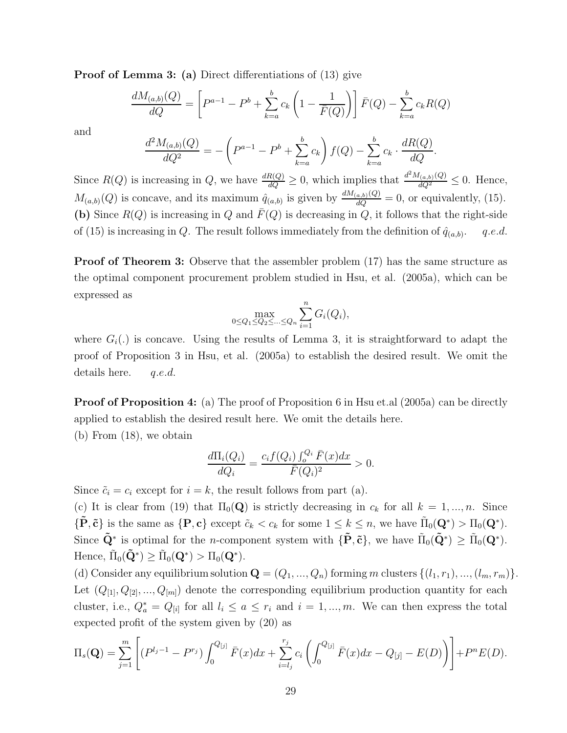**Proof of Lemma 3: (a)** Direct differentiations of (13) give

$$
\frac{dM_{(a,b)}(Q)}{dQ} = \left[ P^{a-1} - P^b + \sum_{k=a}^{b} c_k \left( 1 - \frac{1}{\bar{F}(Q)} \right) \right] \bar{F}(Q) - \sum_{k=a}^{b} c_k R(Q)
$$

and

$$
\frac{d^2 M_{(a,b)}(Q)}{dQ^2} = -\left(P^{a-1} - P^b + \sum_{k=a}^b c_k\right) f(Q) - \sum_{k=a}^b c_k \cdot \frac{dR(Q)}{dQ}.
$$

Since  $R(Q)$  is increasing in Q, we have  $\frac{dR(Q)}{dQ} \geq 0$ , which implies that  $\frac{d^2M_{(a,b)}(Q)}{dQ^2} \leq 0$ . Hence,  $M_{(a,b)}(Q)$  is concave, and its maximum  $\hat{q}_{(a,b)}$  is given by  $\frac{dM_{(a,b)}(Q)}{dQ} = 0$ , or equivalently, (15). (b) Since  $R(Q)$  is increasing in Q and  $\overline{F}(Q)$  is decreasing in Q, it follows that the right-side of (15) is increasing in Q. The result follows immediately from the definition of  $\hat{q}_{(a,b)}$ . q.e.d.

**Proof of Theorem 3:** Observe that the assembler problem  $(17)$  has the same structure as the optimal component procurement problem studied in Hsu, et al. (2005a), which can be expressed as

$$
\max_{0 \le Q_1 \le Q_2 \le \dots \le Q_n} \sum_{i=1}^n G_i(Q_i),
$$

where  $G_i(.)$  is concave. Using the results of Lemma 3, it is straightforward to adapt the proof of Proposition 3 in Hsu, et al. (2005a) to establish the desired result. We omit the details here. q.e.d.

**Proof of Proposition 4:** (a) The proof of Proposition 6 in Hsu et.al (2005a) can be directly applied to establish the desired result here. We omit the details here.

(b) From (18), we obtain

$$
\frac{d\Pi_i(Q_i)}{dQ_i} = \frac{c_i f(Q_i) \int_o^{Q_i} \bar{F}(x) dx}{\bar{F}(Q_i)^2} > 0.
$$

Since  $\tilde{c}_i = c_i$  except for  $i = k$ , the result follows from part (a).

(c) It is clear from (19) that  $\Pi_0(\mathbf{Q})$  is strictly decreasing in  $c_k$  for all  $k = 1, ..., n$ . Since  ${\{\tilde{\mathbf{P}}, \tilde{\mathbf{c}}\}}$  is the same as  ${\{\mathbf{P}, \mathbf{c}\}}$  except  $\tilde{c}_k < c_k$  for some  $1 \leq k \leq n$ , we have  $\tilde{\Pi}_0(\mathbf{Q}^*) > \Pi_0(\mathbf{Q}^*)$ . Since  $\tilde{\mathbf{Q}}^*$  is optimal for the *n*-component system with  ${\tilde{\mathbf{P}}}, \tilde{\mathbf{c}}$ , we have  $\tilde{\Pi}_0(\tilde{\mathbf{Q}}^*) \geq \tilde{\Pi}_0(\mathbf{Q}^*)$ . Hence,  $\tilde{\Pi}_0(\tilde{\mathbf{Q}}^*) \geq \tilde{\Pi}_0(\mathbf{Q}^*) > \Pi_0(\mathbf{Q}^*)$ .

(d) Consider any equilibrium solution  $\mathbf{Q} = (Q_1, ..., Q_n)$  forming m clusters  $\{(l_1, r_1), ..., (l_m, r_m)\}.$ Let  $(Q_{[1]}, Q_{[2]}, ..., Q_{[m]})$  denote the corresponding equilibrium production quantity for each cluster, i.e.,  $Q_a^* = Q_{[i]}$  for all  $l_i \le a \le r_i$  and  $i = 1, ..., m$ . We can then express the total expected profit of the system given by (20) as

$$
\Pi_s(\mathbf{Q}) = \sum_{j=1}^m \left[ (P^{l_j-1} - P^{r_j}) \int_0^{Q_{[j]}} \bar{F}(x) dx + \sum_{i=l_j}^{r_j} c_i \left( \int_0^{Q_{[j]}} \bar{F}(x) dx - Q_{[j]} - E(D) \right) \right] + P^n E(D).
$$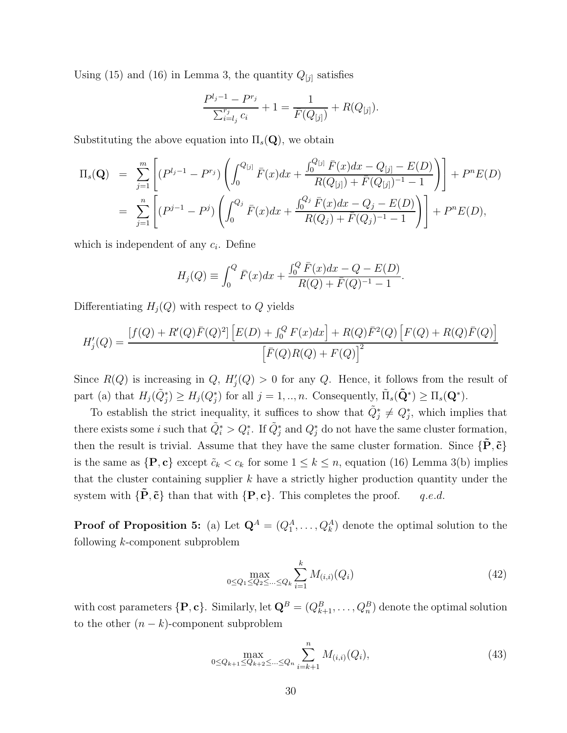Using (15) and (16) in Lemma 3, the quantity  $Q_{[j]}$  satisfies

$$
\frac{P^{l_j-1} - P^{r_j}}{\sum_{i=l_j}^{r_j} c_i} + 1 = \frac{1}{\bar{F}(Q_{[j]})} + R(Q_{[j]}).
$$

Substituting the above equation into  $\Pi_s(Q)$ , we obtain

$$
\Pi_s(\mathbf{Q}) = \sum_{j=1}^m \left[ (P^{l_j-1} - P^{r_j}) \left( \int_0^{Q_{[j]}} \bar{F}(x) dx + \frac{\int_0^{Q_{[j]}} \bar{F}(x) dx - Q_{[j]} - E(D)}{R(Q_{[j]}) + \bar{F}(Q_{[j]})^{-1} - 1} \right) \right] + P^n E(D)
$$
  
= 
$$
\sum_{j=1}^n \left[ (P^{j-1} - P^j) \left( \int_0^{Q_j} \bar{F}(x) dx + \frac{\int_0^{Q_j} \bar{F}(x) dx - Q_j - E(D)}{R(Q_j) + \bar{F}(Q_j)^{-1} - 1} \right) \right] + P^n E(D),
$$

which is independent of any c*i*. Define

$$
H_j(Q) \equiv \int_0^Q \bar{F}(x)dx + \frac{\int_0^Q \bar{F}(x)dx - Q - E(D)}{R(Q) + \bar{F}(Q)^{-1} - 1}.
$$

Differentiating  $H_i(Q)$  with respect to Q yields

$$
H'_{j}(Q) = \frac{[f(Q) + R'(Q)\bar{F}(Q)^{2}]\left[E(D) + \int_{0}^{Q} F(x)dx\right] + R(Q)\bar{F}^{2}(Q)\left[F(Q) + R(Q)\bar{F}(Q)\right]}{\left[\bar{F}(Q)R(Q) + F(Q)\right]^{2}}
$$

Since  $R(Q)$  is increasing in  $Q$ ,  $H'_{i}(Q) > 0$  for any  $Q$ . Hence, it follows from the result of part (a) that  $H_j(\tilde{Q}_i^*) \geq H_j(Q_i^*)$  for all  $j = 1, ..., n$ . Consequently,  $\tilde{\Pi}_s(\tilde{Q}^*) \geq \Pi_s(Q^*)$ .

To establish the strict inequality, it suffices to show that  $\tilde{Q}^*_i \neq Q^*_i$ , which implies that there exists some *i* such that  $\tilde{Q}_i^* > Q_i^*$ . If  $\tilde{Q}_i^*$  and  $Q_i^*$  do not have the same cluster formation, then the result is trivial. Assume that they have the same cluster formation. Since  $\{P, \tilde{c}\}$ is the same as  $\{P, c\}$  except  $\tilde{c}_k < c_k$  for some  $1 \leq k \leq n$ , equation (16) Lemma 3(b) implies that the cluster containing supplier  $k$  have a strictly higher production quantity under the system with  ${\{\mathbf{\tilde{P}}, \tilde{\mathbf{c}}\}}$  than that with  ${\{\mathbf{P}, \mathbf{c}\}}$ . This completes the proof. q.e.d.

**Proof of Proposition 5:** (a) Let  $\mathbf{Q}^A = (Q_1^A, \ldots, Q_k^A)$  denote the optimal solution to the following k-component subproblem

$$
\max_{0 \le Q_1 \le Q_2 \le \dots \le Q_k} \sum_{i=1}^k M_{(i,i)}(Q_i)
$$
\n(42)

with cost parameters  $\{P, c\}$ . Similarly, let  $Q^B = (Q^B_{k+1}, \ldots, Q^B_n)$  denote the optimal solution to the other  $(n - k)$ -component subproblem

$$
\max_{0 \le Q_{k+1} \le Q_{k+2} \le \dots \le Q_n} \sum_{i=k+1}^n M_{(i,i)}(Q_i),\tag{43}
$$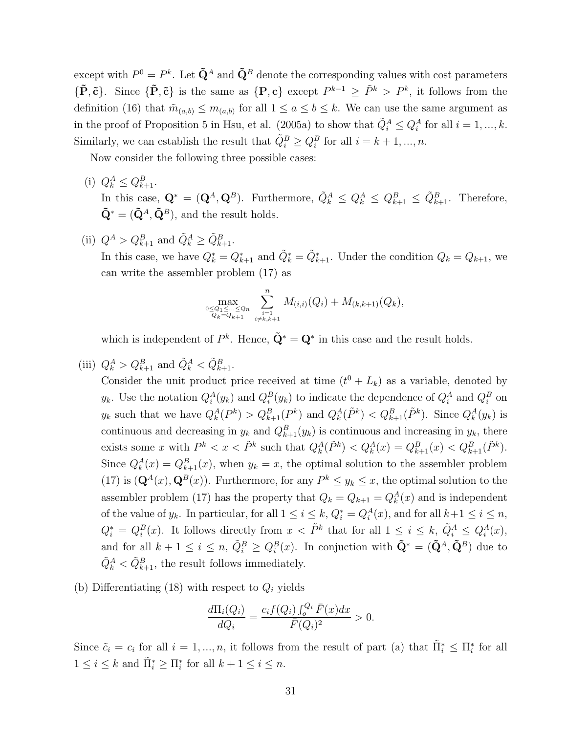except with  $P^0 = P^k$ . Let  $\tilde{\mathbf{Q}}^A$  and  $\tilde{\mathbf{Q}}^B$  denote the corresponding values with cost parameters  ${\{\tilde{\mathbf{P}}, \tilde{\mathbf{c}}\}}$ . Since  ${\{\tilde{\mathbf{P}}, \tilde{\mathbf{c}}\}}$  is the same as  ${\{\mathbf{P}, \mathbf{c}\}}$  except  $P^{k-1} \geq \tilde{P}^k > P^k$ , it follows from the definition (16) that  $\tilde{m}_{(a,b)} \leq m_{(a,b)}$  for all  $1 \leq a \leq b \leq k$ . We can use the same argument as in the proof of Proposition 5 in Hsu, et al. (2005a) to show that  $\tilde{Q}_i^A \leq Q_i^A$  for all  $i = 1, ..., k$ . Similarly, we can establish the result that  $\tilde{Q}_i^B \geq Q_i^B$  for all  $i = k + 1, ..., n$ .

Now consider the following three possible cases:

- (i)  $Q_k^A \leq Q_{k+1}^B$ . In this case,  $\mathbf{Q}^* = (\mathbf{Q}^A, \mathbf{Q}^B)$ . Furthermore,  $\tilde{Q}_k^A \leq Q_k^A \leq Q_{k+1}^B \leq \tilde{Q}_{k+1}^B$ . Therefore,  $\tilde{\mathbf{Q}}^* = (\tilde{\mathbf{Q}}^A, \tilde{\mathbf{Q}}^B)$ , and the result holds.
- (ii)  $Q^A > Q^B_{k+1}$  and  $\tilde{Q}^A_k \geq \tilde{Q}^B_{k+1}$ . In this case, we have  $Q_k^* = Q_{k+1}^*$  and  $\tilde{Q}_k^* = \tilde{Q}_{k+1}^*$ . Under the condition  $Q_k = Q_{k+1}$ , we can write the assembler problem (17) as

$$
\max_{\substack{0 \leq Q_1 \leq \ldots \leq Q_n \\ Q_k = Q_{k+1}}} \sum_{\substack{i=1 \\ i \neq k, k+1}}^n M_{(i,i)}(Q_i) + M_{(k,k+1)}(Q_k),
$$

which is independent of  $P^k$ . Hence,  $\tilde{Q}^* = Q^*$  in this case and the result holds.

(iii)  $Q_k^A > Q_{k+1}^B$  and  $\tilde{Q}_k^A < \tilde{Q}_{k+1}^B$ .

Consider the unit product price received at time  $(t^0 + L_k)$  as a variable, denoted by y<sub>k</sub>. Use the notation  $Q_i^A(y_k)$  and  $Q_i^B(y_k)$  to indicate the dependence of  $Q_i^A$  and  $Q_i^B$  on  $y_k$  such that we have  $Q_k^A(P^k) > Q_{k+1}^B(P^k)$  and  $Q_k^A(\tilde{P}^k) < Q_{k+1}^B(\tilde{P}^k)$ . Since  $Q_k^A(y_k)$  is continuous and decreasing in  $y_k$  and  $Q_{k+1}^B(y_k)$  is continuous and increasing in  $y_k$ , there exists some x with  $P^k < x < \tilde{P}^k$  such that  $Q_k^A(\tilde{P}^k) < Q_k^A(x) = Q_{k+1}^B(x) < Q_{k+1}^B(\tilde{P}^k)$ . Since  $Q_k^A(x) = Q_{k+1}^B(x)$ , when  $y_k = x$ , the optimal solution to the assembler problem (17) is  $(\mathbf{Q}^A(x), \mathbf{Q}^B(x))$ . Furthermore, for any  $P^k \leq y_k \leq x$ , the optimal solution to the assembler problem (17) has the property that  $Q_k = Q_{k+1} = Q_k^A(x)$  and is independent of the value of  $y_k$ . In particular, for all  $1 \leq i \leq k$ ,  $Q_i^* = Q_i^A(x)$ , and for all  $k+1 \leq i \leq n$ ,  $Q_i^* = Q_i^B(x)$ . It follows directly from  $x < \tilde{P}^k$  that for all  $1 \leq i \leq k$ ,  $\tilde{Q}_i^A \leq Q_i^A(x)$ , and for all  $k + 1 \leq i \leq n$ ,  $\tilde{Q}_i^B \geq Q_i^B(x)$ . In conjuction with  $\tilde{\mathbf{Q}}^* = (\tilde{\mathbf{Q}}^A, \tilde{\mathbf{Q}}^B)$  due to  $\tilde{Q}_k^A < \tilde{Q}_{k+1}^B$ , the result follows immediately.

(b) Differentiating  $(18)$  with respect to  $Q_i$  yields

$$
\frac{d\Pi_i(Q_i)}{dQ_i} = \frac{c_i f(Q_i) \int_o^{Q_i} \bar{F}(x) dx}{\bar{F}(Q_i)^2} > 0.
$$

Since  $\tilde{c}_i = c_i$  for all  $i = 1, ..., n$ , it follows from the result of part (a) that  $\tilde{\Pi}_i^* \leq \Pi_i^*$  for all  $1 \leq i \leq k$  and  $\tilde{\Pi}_i^* \geq \Pi_i^*$  for all  $k+1 \leq i \leq n$ .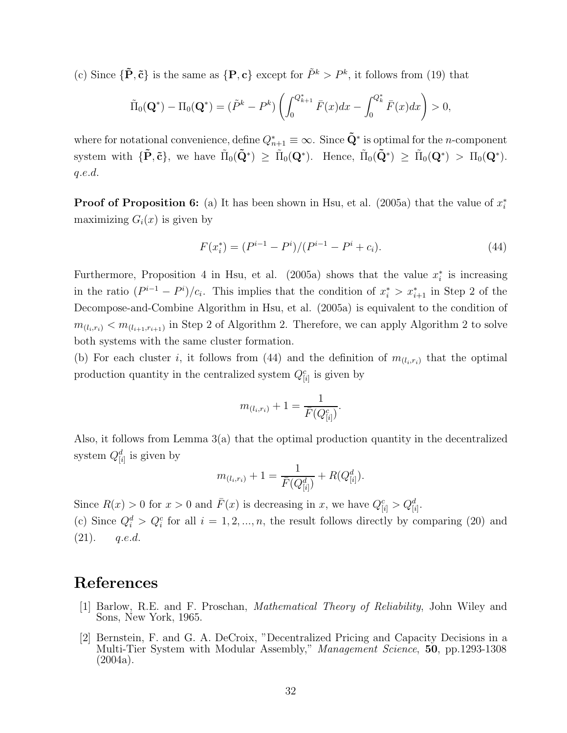(c) Since  $\{\tilde{\mathbf{P}}, \tilde{\mathbf{c}}\}$  is the same as  $\{\mathbf{P}, \mathbf{c}\}$  except for  $\tilde{P}^k > P^k$ , it follows from (19) that

$$
\tilde{\Pi}_0(\mathbf{Q}^*) - \Pi_0(\mathbf{Q}^*) = (\tilde{P}^k - P^k) \left( \int_0^{Q^*_{k+1}} \bar{F}(x) dx - \int_0^{Q^*_{k}} \bar{F}(x) dx \right) > 0,
$$

where for notational convenience, define  $Q_{n+1}^* \equiv \infty$ . Since  $\tilde{Q}^*$  is optimal for the *n*-component system with  ${\{\tilde{\mathbf{P}}, \tilde{\mathbf{c}}\}}$ , we have  $\tilde{\Pi}_0(\tilde{\mathbf{Q}}^*) \geq \tilde{\Pi}_0(\mathbf{Q}^*)$ . Hence,  $\tilde{\Pi}_0(\tilde{\mathbf{Q}}^*) \geq \tilde{\Pi}_0(\mathbf{Q}^*) > \Pi_0(\mathbf{Q}^*)$ . q.e.d.

**Proof of Proposition 6:** (a) It has been shown in Hsu, et al. (2005a) that the value of  $x_i^*$ maximizing  $G_i(x)$  is given by

$$
F(x_i^*) = (P^{i-1} - P^i)/(P^{i-1} - P^i + c_i).
$$
\n(44)

Furthermore, Proposition 4 in Hsu, et al.  $(2005a)$  shows that the value  $x_i^*$  is increasing in the ratio  $(P^{i-1} - P^i)/c_i$ . This implies that the condition of  $x_i^* > x_{i+1}^*$  in Step 2 of the Decompose-and-Combine Algorithm in Hsu, et al. (2005a) is equivalent to the condition of  $m_{(l_i,r_i)} < m_{(l_{i+1},r_{i+1})}$  in Step 2 of Algorithm 2. Therefore, we can apply Algorithm 2 to solve both systems with the same cluster formation.

(b) For each cluster i, it follows from (44) and the definition of  $m_{(l_i,r_i)}$  that the optimal production quantity in the centralized system  $Q_{[i]}^c$  is given by

$$
m_{(l_i,r_i)} + 1 = \frac{1}{\bar{F}(Q_{[i]}^c)}.
$$

Also, it follows from Lemma 3(a) that the optimal production quantity in the decentralized system  $Q_{[i]}^d$  is given by

$$
m_{(l_i,r_i)} + 1 = \frac{1}{\bar{F}(Q_{[i]}^d)} + R(Q_{[i]}^d).
$$

Since  $R(x) > 0$  for  $x > 0$  and  $\overline{F}(x)$  is decreasing in x, we have  $Q_{[i]}^c > Q_{[i]}^d$ .

(c) Since  $Q_i^d > Q_i^c$  for all  $i = 1, 2, ..., n$ , the result follows directly by comparing (20) and  $(21).$  q.e.d.

### **References**

- [1] Barlow, R.E. and F. Proschan, *Mathematical Theory of Reliability*, John Wiley and Sons, New York, 1965.
- [2] Bernstein, F. and G. A. DeCroix, "Decentralized Pricing and Capacity Decisions in a Multi-Tier System with Modular Assembly," *Management Science*, **50**, pp.1293-1308 (2004a).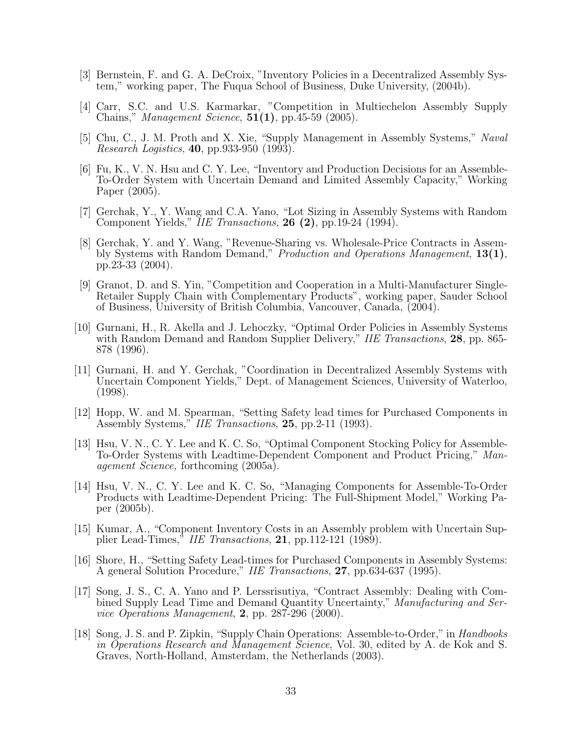- [3] Bernstein, F. and G. A. DeCroix, "Inventory Policies in a Decentralized Assembly System," working paper, The Fuqua School of Business, Duke University, (2004b).
- [4] Carr, S.C. and U.S. Karmarkar, "Competition in Multiechelon Assembly Supply Chains," *Management Science*, **51(1)**, pp.45-59 (2005).
- [5] Chu, C., J. M. Proth and X. Xie, "Supply Management in Assembly Systems," *Naval Research Logistics*, **40**, pp.933-950 (1993).
- [6] Fu, K., V. N. Hsu and C. Y. Lee, "Inventory and Production Decisions for an Assemble-To-Order System with Uncertain Demand and Limited Assembly Capacity," Working Paper (2005).
- [7] Gerchak, Y., Y. Wang and C.A. Yano, "Lot Sizing in Assembly Systems with Random Component Yields," *IIE Transactions*, **26 (2)**, pp.19-24 (1994).
- [8] Gerchak, Y. and Y. Wang, "Revenue-Sharing vs. Wholesale-Price Contracts in Assembly Systems with Random Demand," *Production and Operations Management*, **13(1)**, pp.23-33 (2004).
- [9] Granot, D. and S. Yin, "Competition and Cooperation in a Multi-Manufacturer Single-Retailer Supply Chain with Complementary Products", working paper, Sauder School of Business, University of British Columbia, Vancouver, Canada, (2004).
- [10] Gurnani, H., R. Akella and J. Lehoczky, "Optimal Order Policies in Assembly Systems with Random Demand and Random Supplier Delivery," *IIE Transactions*, **28**, pp. 865- 878 (1996).
- [11] Gurnani, H. and Y. Gerchak, "Coordination in Decentralized Assembly Systems with Uncertain Component Yields," Dept. of Management Sciences, University of Waterloo, (1998).
- [12] Hopp, W. and M. Spearman, "Setting Safety lead times for Purchased Components in Assembly Systems," *IIE Transactions*, **25**, pp.2-11 (1993).
- [13] Hsu, V. N., C. Y. Lee and K. C. So, "Optimal Component Stocking Policy for Assemble-To-Order Systems with Leadtime-Dependent Component and Product Pricing," *Management Science,* forthcoming (2005a).
- [14] Hsu, V. N., C. Y. Lee and K. C. So, "Managing Components for Assemble-To-Order Products with Leadtime-Dependent Pricing: The Full-Shipment Model," Working Paper (2005b).
- [15] Kumar, A., "Component Inventory Costs in an Assembly problem with Uncertain Supplier Lead-Times," *IIE Transactions*, **21**, pp.112-121 (1989).
- [16] Shore, H., "Setting Safety Lead-times for Purchased Components in Assembly Systems: A general Solution Procedure," *IIE Transactions*, **27**, pp.634-637 (1995).
- [17] Song, J. S., C. A. Yano and P. Lerssrisutiya, "Contract Assembly: Dealing with Combined Supply Lead Time and Demand Quantity Uncertainty," *Manufacturing and Service Operations Management*, **2**, pp. 287-296 (2000).
- [18] Song, J. S. and P. Zipkin, "Supply Chain Operations: Assemble-to-Order," in *Handbooks in Operations Research and Management Science*, Vol. 30, edited by A. de Kok and S. Graves, North-Holland, Amsterdam, the Netherlands (2003).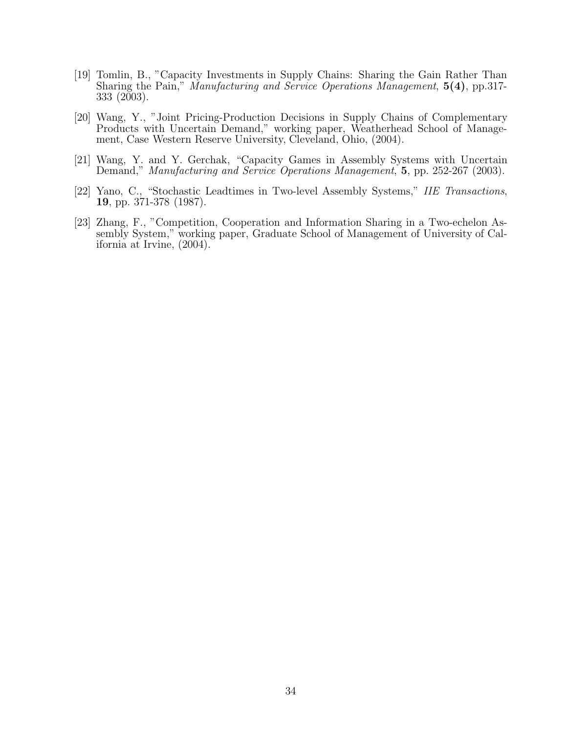- [19] Tomlin, B., "Capacity Investments in Supply Chains: Sharing the Gain Rather Than Sharing the Pain," *Manufacturing and Service Operations Management*, **5(4)**, pp.317- 333 (2003).
- [20] Wang, Y., "Joint Pricing-Production Decisions in Supply Chains of Complementary Products with Uncertain Demand," working paper, Weatherhead School of Management, Case Western Reserve University, Cleveland, Ohio, (2004).
- [21] Wang, Y. and Y. Gerchak, "Capacity Games in Assembly Systems with Uncertain Demand," *Manufacturing and Service Operations Management*, **5**, pp. 252-267 (2003).
- [22] Yano, C., "Stochastic Leadtimes in Two-level Assembly Systems," *IIE Transactions*, **19**, pp. 371-378 (1987).
- [23] Zhang, F., "Competition, Cooperation and Information Sharing in a Two-echelon Assembly System," working paper, Graduate School of Management of University of California at Irvine, (2004).